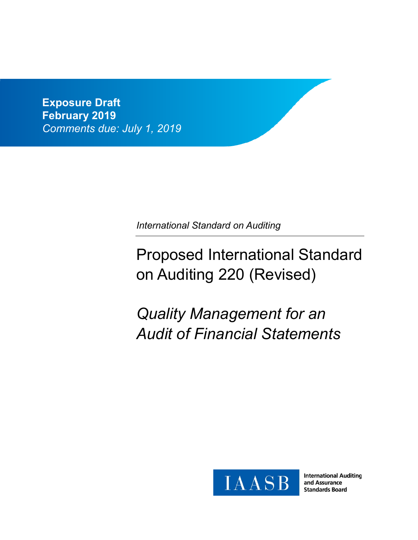**Exposure Draft February 2019** *Comments due: July 1, 2019*

*International Standard on Auditing* 

# Proposed International Standard on Auditing 220 (Revised)

*Quality Management for an Audit of Financial Statements*



**International Auditing** and Assurance **Standards Board**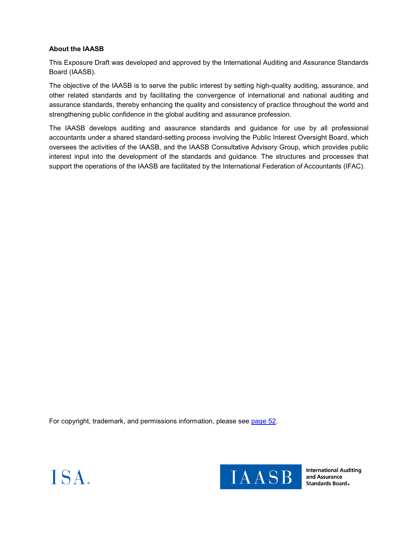### **About the IAASB**

This Exposure Draft was developed and approved by the International Auditing and Assurance Standards Board (IAASB).

The objective of the IAASB is to serve the public interest by setting high-quality auditing, assurance, and other related standards and by facilitating the convergence of international and national auditing and assurance standards, thereby enhancing the quality and consistency of practice throughout the world and strengthening public confidence in the global auditing and assurance profession.

The IAASB develops auditing and assurance standards and guidance for use by all professional accountants under a shared standard-setting process involving the Public Interest Oversight Board, which oversees the activities of the IAASB, and the IAASB Consultative Advisory Group, which provides public interest input into the development of the standards and guidance. The structures and processes that support the operations of the IAASB are facilitated by the International Federation of Accountants (IFAC).

For copyright, trademark, and permissions information, please see page 52.





**International Auditing** and Assurance **Standards Board**.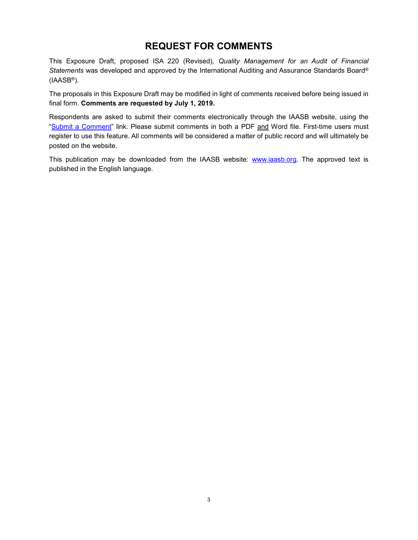# **REQUEST FOR COMMENTS**

This Exposure Draft, proposed ISA 220 (Revised)*, Quality Management for an Audit of Financial Statements* was developed and approved by the International Auditing and Assurance Standards Board® (IAASB®).

The proposals in this Exposure Draft may be modified in light of comments received before being issued in final form. **Comments are requested by July 1, 2019.**

Respondents are asked to submit their comments electronically through the IAASB website, using the "Submit a Comment" link. Please submit comments in both a PDF and Word file. First-time users must register to use this feature. All comments will be considered a matter of public record and will ultimately be posted on the website.

This publication may be downloaded from the IAASB website: www.iaasb.org. The approved text is published in the English language.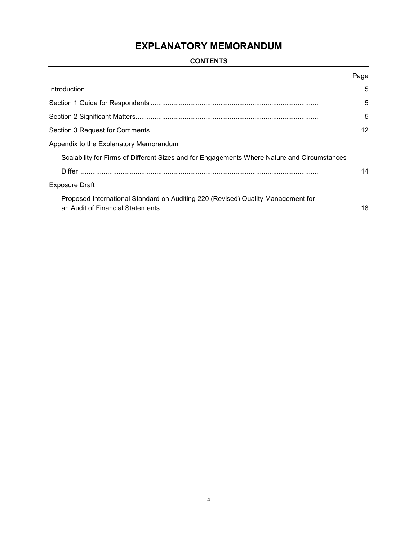### **CONTENTS**

|                                                                                             | Page              |
|---------------------------------------------------------------------------------------------|-------------------|
|                                                                                             | 5                 |
|                                                                                             | 5                 |
|                                                                                             | 5                 |
|                                                                                             | $12 \overline{ }$ |
| Appendix to the Explanatory Memorandum                                                      |                   |
| Scalability for Firms of Different Sizes and for Engagements Where Nature and Circumstances |                   |
|                                                                                             | 14                |
| <b>Exposure Draft</b>                                                                       |                   |
| Proposed International Standard on Auditing 220 (Revised) Quality Management for            | 18                |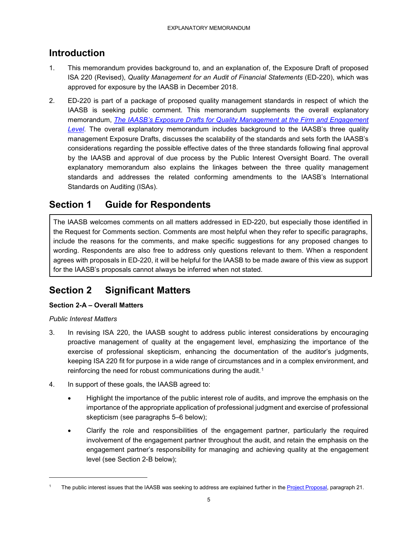# **Introduction**

- 1. This memorandum provides background to, and an explanation of, the Exposure Draft of proposed ISA 220 (Revised), *Quality Management for an Audit of Financial Statements* (ED-220), which was approved for exposure by the IAASB in December 2018.
- 2. ED-220 is part of a package of proposed quality management standards in respect of which the IAASB is seeking public comment. This memorandum supplements the overall explanatory memorandum, *The IAASB's Exposure Drafts for Quality Management at the Firm and Engagement Level*. The overall explanatory memorandum includes background to the IAASB's three quality management Exposure Drafts, discusses the scalability of the standards and sets forth the IAASB's considerations regarding the possible effective dates of the three standards following final approval by the IAASB and approval of due process by the Public Interest Oversight Board. The overall explanatory memorandum also explains the linkages between the three quality management standards and addresses the related conforming amendments to the IAASB's International Standards on Auditing (ISAs).

# **Section 1 Guide for Respondents**

The IAASB welcomes comments on all matters addressed in ED-220, but especially those identified in the Request for Comments section. Comments are most helpful when they refer to specific paragraphs, include the reasons for the comments, and make specific suggestions for any proposed changes to wording. Respondents are also free to address only questions relevant to them. When a respondent agrees with proposals in ED-220, it will be helpful for the IAASB to be made aware of this view as support for the IAASB's proposals cannot always be inferred when not stated.

# **Section 2 Significant Matters**

### **Section 2-A – Overall Matters**

### *Public Interest Matters*

- 3. In revising ISA 220, the IAASB sought to address public interest considerations by encouraging proactive management of quality at the engagement level, emphasizing the importance of the exercise of professional skepticism, enhancing the documentation of the auditor's judgments, keeping ISA 220 fit for purpose in a wide range of circumstances and in a complex environment, and reinforcing the need for robust communications during the audit.<sup>1</sup>
- 4. In support of these goals, the IAASB agreed to:
	- Highlight the importance of the public interest role of audits, and improve the emphasis on the importance of the appropriate application of professional judgment and exercise of professional skepticism (see paragraphs 5–6 below);
	- Clarify the role and responsibilities of the engagement partner, particularly the required involvement of the engagement partner throughout the audit, and retain the emphasis on the engagement partner's responsibility for managing and achieving quality at the engagement level (see Section 2-B below);

The public interest issues that the IAASB was seeking to address are explained further in the Project Proposal, paragraph 21.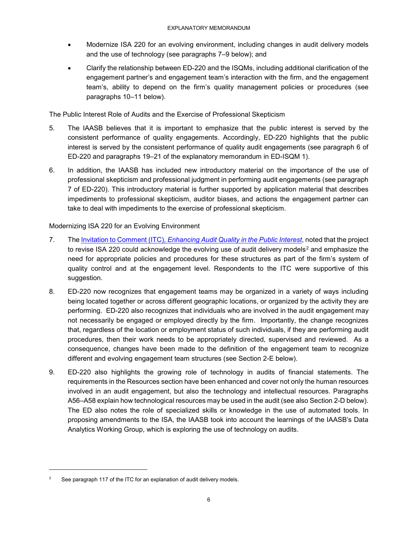- Modernize ISA 220 for an evolving environment, including changes in audit delivery models and the use of technology (see paragraphs 7–9 below); and
- Clarify the relationship between ED-220 and the ISQMs, including additional clarification of the engagement partner's and engagement team's interaction with the firm, and the engagement team's, ability to depend on the firm's quality management policies or procedures (see paragraphs 10–11 below).

The Public Interest Role of Audits and the Exercise of Professional Skepticism

- 5. The IAASB believes that it is important to emphasize that the public interest is served by the consistent performance of quality engagements. Accordingly, ED-220 highlights that the public interest is served by the consistent performance of quality audit engagements (see paragraph 6 of ED-220 and paragraphs 19–21 of the explanatory memorandum in ED-ISQM 1).
- 6. In addition, the IAASB has included new introductory material on the importance of the use of professional skepticism and professional judgment in performing audit engagements (see paragraph 7 of ED-220). This introductory material is further supported by application material that describes impediments to professional skepticism, auditor biases, and actions the engagement partner can take to deal with impediments to the exercise of professional skepticism.

### Modernizing ISA 220 for an Evolving Environment

- 7. The Invitation to Comment (ITC), *Enhancing Audit Quality in the Public Interest*, noted that the project to revise ISA 220 could acknowledge the evolving use of audit delivery models<sup>2</sup> and emphasize the need for appropriate policies and procedures for these structures as part of the firm's system of quality control and at the engagement level. Respondents to the ITC were supportive of this suggestion.
- 8. ED-220 now recognizes that engagement teams may be organized in a variety of ways including being located together or across different geographic locations, or organized by the activity they are performing. ED-220 also recognizes that individuals who are involved in the audit engagement may not necessarily be engaged or employed directly by the firm. Importantly, the change recognizes that, regardless of the location or employment status of such individuals, if they are performing audit procedures, then their work needs to be appropriately directed, supervised and reviewed. As a consequence, changes have been made to the definition of the engagement team to recognize different and evolving engagement team structures (see Section 2-E below).
- 9. ED-220 also highlights the growing role of technology in audits of financial statements. The requirements in the Resources section have been enhanced and cover not only the human resources involved in an audit engagement, but also the technology and intellectual resources. Paragraphs A56–A58 explain how technological resources may be used in the audit (see also Section 2-D below). The ED also notes the role of specialized skills or knowledge in the use of automated tools. In proposing amendments to the ISA, the IAASB took into account the learnings of the IAASB's Data Analytics Working Group, which is exploring the use of technology on audits.

j

<sup>&</sup>lt;sup>2</sup> See paragraph 117 of the ITC for an explanation of audit delivery models.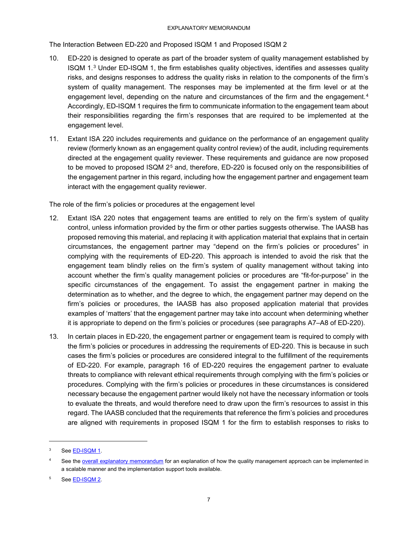The Interaction Between ED-220 and Proposed ISQM 1 and Proposed ISQM 2

- 10. ED-220 is designed to operate as part of the broader system of quality management established by ISQM 1.3 Under ED-ISQM 1, the firm establishes quality objectives, identifies and assesses quality risks, and designs responses to address the quality risks in relation to the components of the firm's system of quality management. The responses may be implemented at the firm level or at the engagement level, depending on the nature and circumstances of the firm and the engagement.<sup>4</sup> Accordingly, ED-ISQM 1 requires the firm to communicate information to the engagement team about their responsibilities regarding the firm's responses that are required to be implemented at the engagement level.
- 11. Extant ISA 220 includes requirements and guidance on the performance of an engagement quality review (formerly known as an engagement quality control review) of the audit, including requirements directed at the engagement quality reviewer. These requirements and guidance are now proposed to be moved to proposed ISQM 2<sup>5</sup> and, therefore, ED-220 is focused only on the responsibilities of the engagement partner in this regard, including how the engagement partner and engagement team interact with the engagement quality reviewer.

The role of the firm's policies or procedures at the engagement level

- 12. Extant ISA 220 notes that engagement teams are entitled to rely on the firm's system of quality control, unless information provided by the firm or other parties suggests otherwise. The IAASB has proposed removing this material, and replacing it with application material that explains that in certain circumstances, the engagement partner may "depend on the firm's policies or procedures" in complying with the requirements of ED-220. This approach is intended to avoid the risk that the engagement team blindly relies on the firm's system of quality management without taking into account whether the firm's quality management policies or procedures are "fit-for-purpose" in the specific circumstances of the engagement. To assist the engagement partner in making the determination as to whether, and the degree to which, the engagement partner may depend on the firm's policies or procedures, the IAASB has also proposed application material that provides examples of 'matters' that the engagement partner may take into account when determining whether it is appropriate to depend on the firm's policies or procedures (see paragraphs A7–A8 of ED-220).
- 13. In certain places in ED-220, the engagement partner or engagement team is required to comply with the firm's policies or procedures in addressing the requirements of ED-220. This is because in such cases the firm's policies or procedures are considered integral to the fulfillment of the requirements of ED-220. For example, paragraph 16 of ED-220 requires the engagement partner to evaluate threats to compliance with relevant ethical requirements through complying with the firm's policies or procedures. Complying with the firm's policies or procedures in these circumstances is considered necessary because the engagement partner would likely not have the necessary information or tools to evaluate the threats, and would therefore need to draw upon the firm's resources to assist in this regard. The IAASB concluded that the requirements that reference the firm's policies and procedures are aligned with requirements in proposed ISQM 1 for the firm to establish responses to risks to

j

<sup>&</sup>lt;sup>3</sup> See ED-ISQM 1.

See the overall explanatory memorandum for an explanation of how the quality management approach can be implemented in a scalable manner and the implementation support tools available.

<sup>5</sup> See ED-ISQM 2.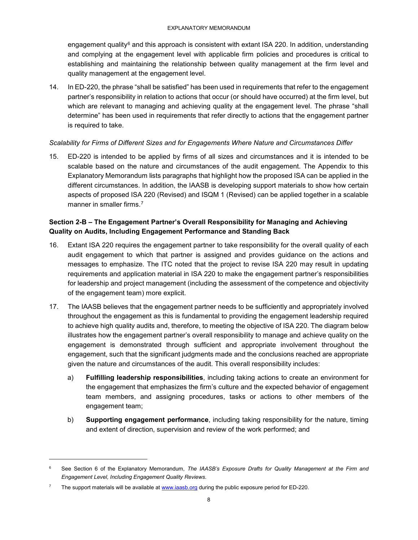engagement quality<sup>6</sup> and this approach is consistent with extant ISA 220. In addition, understanding and complying at the engagement level with applicable firm policies and procedures is critical to establishing and maintaining the relationship between quality management at the firm level and quality management at the engagement level.

14. In ED-220, the phrase "shall be satisfied" has been used in requirements that refer to the engagement partner's responsibility in relation to actions that occur (or should have occurred) at the firm level, but which are relevant to managing and achieving quality at the engagement level. The phrase "shall determine" has been used in requirements that refer directly to actions that the engagement partner is required to take.

### *Scalability for Firms of Different Sizes and for Engagements Where Nature and Circumstances Differ*

15. ED-220 is intended to be applied by firms of all sizes and circumstances and it is intended to be scalable based on the nature and circumstances of the audit engagement. The Appendix to this Explanatory Memorandum lists paragraphs that highlight how the proposed ISA can be applied in the different circumstances. In addition, the IAASB is developing support materials to show how certain aspects of proposed ISA 220 (Revised) and ISQM 1 (Revised) can be applied together in a scalable manner in smaller firms.<sup>7</sup>

### **Section 2-B – The Engagement Partner's Overall Responsibility for Managing and Achieving Quality on Audits, Including Engagement Performance and Standing Back**

- 16. Extant ISA 220 requires the engagement partner to take responsibility for the overall quality of each audit engagement to which that partner is assigned and provides guidance on the actions and messages to emphasize. The ITC noted that the project to revise ISA 220 may result in updating requirements and application material in ISA 220 to make the engagement partner's responsibilities for leadership and project management (including the assessment of the competence and objectivity of the engagement team) more explicit.
- 17. The IAASB believes that the engagement partner needs to be sufficiently and appropriately involved throughout the engagement as this is fundamental to providing the engagement leadership required to achieve high quality audits and, therefore, to meeting the objective of ISA 220. The diagram below illustrates how the engagement partner's overall responsibility to manage and achieve quality on the engagement is demonstrated through sufficient and appropriate involvement throughout the engagement, such that the significant judgments made and the conclusions reached are appropriate given the nature and circumstances of the audit. This overall responsibility includes:
	- a) **Fulfilling leadership responsibilities**, including taking actions to create an environment for the engagement that emphasizes the firm's culture and the expected behavior of engagement team members, and assigning procedures, tasks or actions to other members of the engagement team;
	- b) **Supporting engagement performance**, including taking responsibility for the nature, timing and extent of direction, supervision and review of the work performed; and

<sup>6</sup> See Section 6 of the Explanatory Memorandum, *The IAASB's Exposure Drafts for Quality Management at the Firm and Engagement Level, Including Engagement Quality Reviews*.

<sup>&</sup>lt;sup>7</sup> The support materials will be available at www.iaasb.org during the public exposure period for ED-220.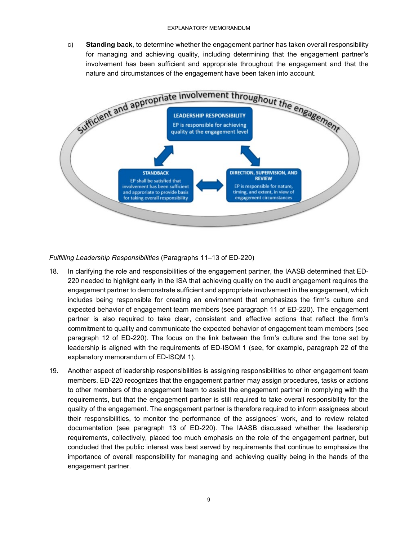c) **Standing back**, to determine whether the engagement partner has taken overall responsibility for managing and achieving quality, including determining that the engagement partner's involvement has been sufficient and appropriate throughout the engagement and that the nature and circumstances of the engagement have been taken into account.



### *Fulfilling Leadership Responsibilities* (Paragraphs 11–13 of ED-220)

- 18. In clarifying the role and responsibilities of the engagement partner, the IAASB determined that ED-220 needed to highlight early in the ISA that achieving quality on the audit engagement requires the engagement partner to demonstrate sufficient and appropriate involvement in the engagement, which includes being responsible for creating an environment that emphasizes the firm's culture and expected behavior of engagement team members (see paragraph 11 of ED-220). The engagement partner is also required to take clear, consistent and effective actions that reflect the firm's commitment to quality and communicate the expected behavior of engagement team members (see paragraph 12 of ED-220). The focus on the link between the firm's culture and the tone set by leadership is aligned with the requirements of ED-ISQM 1 (see, for example, paragraph 22 of the explanatory memorandum of ED-ISQM 1).
- 19. Another aspect of leadership responsibilities is assigning responsibilities to other engagement team members. ED-220 recognizes that the engagement partner may assign procedures, tasks or actions to other members of the engagement team to assist the engagement partner in complying with the requirements, but that the engagement partner is still required to take overall responsibility for the quality of the engagement. The engagement partner is therefore required to inform assignees about their responsibilities, to monitor the performance of the assignees' work, and to review related documentation (see paragraph 13 of ED-220). The IAASB discussed whether the leadership requirements, collectively, placed too much emphasis on the role of the engagement partner, but concluded that the public interest was best served by requirements that continue to emphasize the importance of overall responsibility for managing and achieving quality being in the hands of the engagement partner.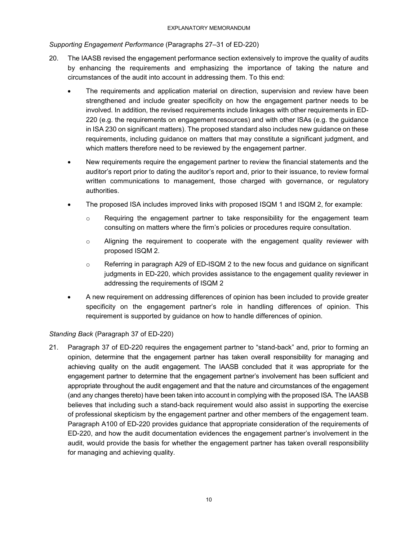### *Supporting Engagement Performance* (Paragraphs 27–31 of ED-220)

- 20. The IAASB revised the engagement performance section extensively to improve the quality of audits by enhancing the requirements and emphasizing the importance of taking the nature and circumstances of the audit into account in addressing them. To this end:
	- The requirements and application material on direction, supervision and review have been strengthened and include greater specificity on how the engagement partner needs to be involved. In addition, the revised requirements include linkages with other requirements in ED-220 (e.g. the requirements on engagement resources) and with other ISAs (e.g. the guidance in ISA 230 on significant matters). The proposed standard also includes new guidance on these requirements, including guidance on matters that may constitute a significant judgment, and which matters therefore need to be reviewed by the engagement partner.
	- New requirements require the engagement partner to review the financial statements and the auditor's report prior to dating the auditor's report and, prior to their issuance, to review formal written communications to management, those charged with governance, or regulatory authorities.
	- The proposed ISA includes improved links with proposed ISQM 1 and ISQM 2, for example:
		- $\circ$  Requiring the engagement partner to take responsibility for the engagement team consulting on matters where the firm's policies or procedures require consultation.
		- $\circ$  Aligning the requirement to cooperate with the engagement quality reviewer with proposed ISQM 2.
		- $\circ$  Referring in paragraph A29 of ED-ISQM 2 to the new focus and guidance on significant judgments in ED-220, which provides assistance to the engagement quality reviewer in addressing the requirements of ISQM 2
	- A new requirement on addressing differences of opinion has been included to provide greater specificity on the engagement partner's role in handling differences of opinion. This requirement is supported by guidance on how to handle differences of opinion.

### *Standing Back* (Paragraph 37 of ED-220)

21. Paragraph 37 of ED-220 requires the engagement partner to "stand-back" and, prior to forming an opinion, determine that the engagement partner has taken overall responsibility for managing and achieving quality on the audit engagement. The IAASB concluded that it was appropriate for the engagement partner to determine that the engagement partner's involvement has been sufficient and appropriate throughout the audit engagement and that the nature and circumstances of the engagement (and any changes thereto) have been taken into account in complying with the proposed ISA. The IAASB believes that including such a stand-back requirement would also assist in supporting the exercise of professional skepticism by the engagement partner and other members of the engagement team. Paragraph A100 of ED-220 provides guidance that appropriate consideration of the requirements of ED-220, and how the audit documentation evidences the engagement partner's involvement in the audit, would provide the basis for whether the engagement partner has taken overall responsibility for managing and achieving quality.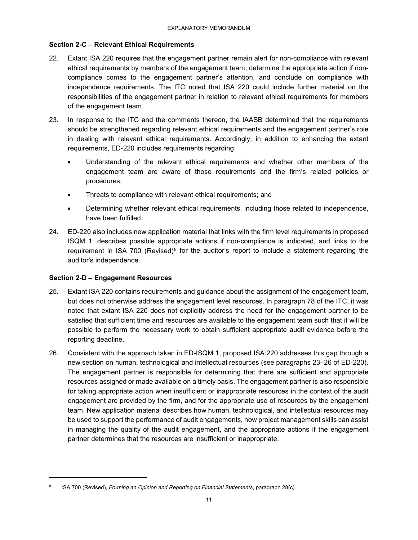### **Section 2-C – Relevant Ethical Requirements**

- 22. Extant ISA 220 requires that the engagement partner remain alert for non-compliance with relevant ethical requirements by members of the engagement team, determine the appropriate action if noncompliance comes to the engagement partner's attention, and conclude on compliance with independence requirements. The ITC noted that ISA 220 could include further material on the responsibilities of the engagement partner in relation to relevant ethical requirements for members of the engagement team.
- 23. In response to the ITC and the comments thereon, the IAASB determined that the requirements should be strengthened regarding relevant ethical requirements and the engagement partner's role in dealing with relevant ethical requirements. Accordingly, in addition to enhancing the extant requirements, ED-220 includes requirements regarding:
	- Understanding of the relevant ethical requirements and whether other members of the engagement team are aware of those requirements and the firm's related policies or procedures;
	- Threats to compliance with relevant ethical requirements; and
	- Determining whether relevant ethical requirements, including those related to independence, have been fulfilled.
- 24. ED-220 also includes new application material that links with the firm level requirements in proposed ISQM 1, describes possible appropriate actions if non-compliance is indicated, and links to the requirement in ISA 700 (Revised)<sup>8</sup> for the auditor's report to include a statement regarding the auditor's independence.

#### **Section 2-D – Engagement Resources**

- 25. Extant ISA 220 contains requirements and guidance about the assignment of the engagement team, but does not otherwise address the engagement level resources. In paragraph 78 of the ITC, it was noted that extant ISA 220 does not explicitly address the need for the engagement partner to be satisfied that sufficient time and resources are available to the engagement team such that it will be possible to perform the necessary work to obtain sufficient appropriate audit evidence before the reporting deadline.
- 26. Consistent with the approach taken in ED-ISQM 1, proposed ISA 220 addresses this gap through a new section on human, technological and intellectual resources (see paragraphs 23–26 of ED-220). The engagement partner is responsible for determining that there are sufficient and appropriate resources assigned or made available on a timely basis. The engagement partner is also responsible for taking appropriate action when insufficient or inappropriate resources in the context of the audit engagement are provided by the firm, and for the appropriate use of resources by the engagement team. New application material describes how human, technological, and intellectual resources may be used to support the performance of audit engagements, how project management skills can assist in managing the quality of the audit engagement, and the appropriate actions if the engagement partner determines that the resources are insufficient or inappropriate.

<sup>8</sup> ISA 700 (Revised), *Forming an Opinion and Reporting on Financial Statements*, paragraph 28(c)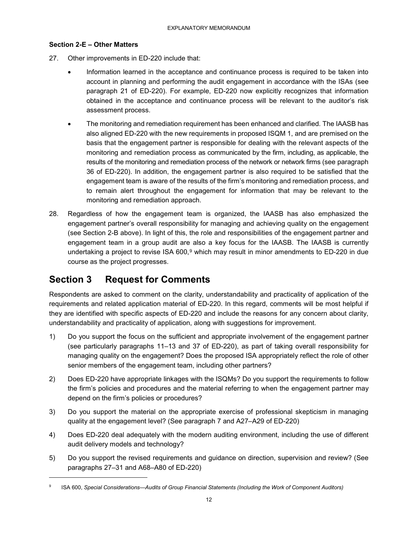### **Section 2-E – Other Matters**

- 27. Other improvements in ED-220 include that:
	- Information learned in the acceptance and continuance process is required to be taken into account in planning and performing the audit engagement in accordance with the ISAs (see paragraph 21 of ED-220). For example, ED-220 now explicitly recognizes that information obtained in the acceptance and continuance process will be relevant to the auditor's risk assessment process.
	- The monitoring and remediation requirement has been enhanced and clarified. The IAASB has also aligned ED-220 with the new requirements in proposed ISQM 1, and are premised on the basis that the engagement partner is responsible for dealing with the relevant aspects of the monitoring and remediation process as communicated by the firm, including, as applicable, the results of the monitoring and remediation process of the network or network firms (see paragraph 36 of ED-220). In addition, the engagement partner is also required to be satisfied that the engagement team is aware of the results of the firm's monitoring and remediation process, and to remain alert throughout the engagement for information that may be relevant to the monitoring and remediation approach.
- 28. Regardless of how the engagement team is organized, the IAASB has also emphasized the engagement partner's overall responsibility for managing and achieving quality on the engagement (see Section 2-B above). In light of this, the role and responsibilities of the engagement partner and engagement team in a group audit are also a key focus for the IAASB. The IAASB is currently undertaking a project to revise ISA 600,<sup>9</sup> which may result in minor amendments to ED-220 in due course as the project progresses.

# **Section 3 Request for Comments**

-

Respondents are asked to comment on the clarity, understandability and practicality of application of the requirements and related application material of ED-220. In this regard, comments will be most helpful if they are identified with specific aspects of ED-220 and include the reasons for any concern about clarity, understandability and practicality of application, along with suggestions for improvement.

- 1) Do you support the focus on the sufficient and appropriate involvement of the engagement partner (see particularly paragraphs 11–13 and 37 of ED-220), as part of taking overall responsibility for managing quality on the engagement? Does the proposed ISA appropriately reflect the role of other senior members of the engagement team, including other partners?
- 2) Does ED-220 have appropriate linkages with the ISQMs? Do you support the requirements to follow the firm's policies and procedures and the material referring to when the engagement partner may depend on the firm's policies or procedures?
- 3) Do you support the material on the appropriate exercise of professional skepticism in managing quality at the engagement level? (See paragraph 7 and A27–A29 of ED-220)
- 4) Does ED-220 deal adequately with the modern auditing environment, including the use of different audit delivery models and technology?
- 5) Do you support the revised requirements and guidance on direction, supervision and review? (See paragraphs 27–31 and A68–A80 of ED-220)

<sup>9</sup> ISA 600, *Special Considerations—Audits of Group Financial Statements (Including the Work of Component Auditors)*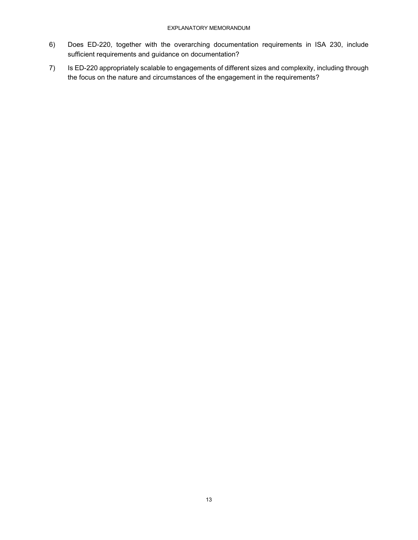- 6) Does ED-220, together with the overarching documentation requirements in ISA 230, include sufficient requirements and guidance on documentation?
- 7) Is ED-220 appropriately scalable to engagements of different sizes and complexity, including through the focus on the nature and circumstances of the engagement in the requirements?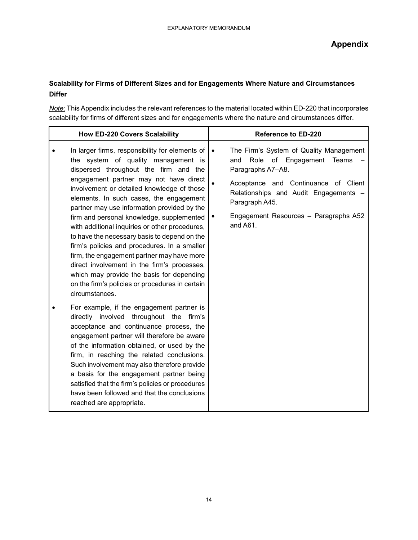### **Scalability for Firms of Different Sizes and for Engagements Where Nature and Circumstances Differ**

*Note:* This Appendix includes the relevant references to the material located within ED-220 that incorporates scalability for firms of different sizes and for engagements where the nature and circumstances differ.

| <b>How ED-220 Covers Scalability</b>                                                                                                                                                                                                                                                                                                                                                                                                                                                                                                                                                                                                                                                                                                                                                                                                                                                                                                                                                                                                                                                                                                                                                                                                    | <b>Reference to ED-220</b>                                                                                                                                                                                                                                                                                  |
|-----------------------------------------------------------------------------------------------------------------------------------------------------------------------------------------------------------------------------------------------------------------------------------------------------------------------------------------------------------------------------------------------------------------------------------------------------------------------------------------------------------------------------------------------------------------------------------------------------------------------------------------------------------------------------------------------------------------------------------------------------------------------------------------------------------------------------------------------------------------------------------------------------------------------------------------------------------------------------------------------------------------------------------------------------------------------------------------------------------------------------------------------------------------------------------------------------------------------------------------|-------------------------------------------------------------------------------------------------------------------------------------------------------------------------------------------------------------------------------------------------------------------------------------------------------------|
| In larger firms, responsibility for elements of<br>the system of quality management is<br>dispersed throughout the firm and the<br>engagement partner may not have direct<br>involvement or detailed knowledge of those<br>elements. In such cases, the engagement<br>partner may use information provided by the<br>firm and personal knowledge, supplemented<br>with additional inquiries or other procedures,<br>to have the necessary basis to depend on the<br>firm's policies and procedures. In a smaller<br>firm, the engagement partner may have more<br>direct involvement in the firm's processes,<br>which may provide the basis for depending<br>on the firm's policies or procedures in certain<br>circumstances.<br>For example, if the engagement partner is<br>directly involved throughout the firm's<br>acceptance and continuance process, the<br>engagement partner will therefore be aware<br>of the information obtained, or used by the<br>firm, in reaching the related conclusions.<br>Such involvement may also therefore provide<br>a basis for the engagement partner being<br>satisfied that the firm's policies or procedures<br>have been followed and that the conclusions<br>reached are appropriate. | The Firm's System of Quality Management<br>$\bullet$<br>Role<br>of Engagement<br><b>Teams</b><br>and<br>Paragraphs A7-A8.<br>Acceptance and Continuance of Client<br>$\bullet$<br>Relationships and Audit Engagements -<br>Paragraph A45.<br>Engagement Resources - Paragraphs A52<br>$\bullet$<br>and A61. |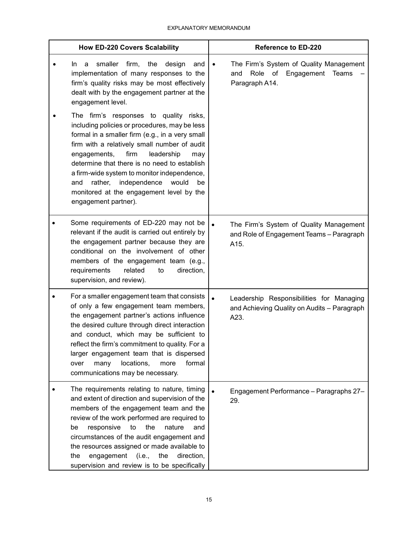| <b>How ED-220 Covers Scalability</b> |                                                                                                                                                                                                                                                                                                                                                                                                                                                                | <b>Reference to ED-220</b>                                                                                             |  |
|--------------------------------------|----------------------------------------------------------------------------------------------------------------------------------------------------------------------------------------------------------------------------------------------------------------------------------------------------------------------------------------------------------------------------------------------------------------------------------------------------------------|------------------------------------------------------------------------------------------------------------------------|--|
|                                      | smaller<br>firm,<br>the<br>design<br>a<br>and<br>In.<br>implementation of many responses to the<br>firm's quality risks may be most effectively<br>dealt with by the engagement partner at the<br>engagement level.<br>The firm's responses to quality risks,<br>including policies or procedures, may be less<br>formal in a smaller firm (e.g., in a very small<br>firm with a relatively small number of audit<br>engagements,<br>firm<br>leadership<br>may | The Firm's System of Quality Management<br>$\bullet$<br>Role of<br>Engagement<br><b>Teams</b><br>and<br>Paragraph A14. |  |
|                                      | determine that there is no need to establish<br>a firm-wide system to monitor independence,<br>rather,<br>independence<br>would<br>and<br>be<br>monitored at the engagement level by the<br>engagement partner).                                                                                                                                                                                                                                               |                                                                                                                        |  |
|                                      | Some requirements of ED-220 may not be<br>relevant if the audit is carried out entirely by<br>the engagement partner because they are<br>conditional on the involvement of other<br>members of the engagement team (e.g.,<br>requirements<br>related<br>direction,<br>to<br>supervision, and review).                                                                                                                                                          | $\bullet$<br>The Firm's System of Quality Management<br>and Role of Engagement Teams - Paragraph<br>A15.               |  |
|                                      | For a smaller engagement team that consists<br>of only a few engagement team members,<br>the engagement partner's actions influence<br>the desired culture through direct interaction<br>and conduct, which may be sufficient to<br>reflect the firm's commitment to quality. For a<br>larger engagement team that is dispersed<br>locations,<br>many<br>formal<br>over<br>more<br>communications may be necessary.                                            | $\bullet$<br>Leadership Responsibilities for Managing<br>and Achieving Quality on Audits - Paragraph<br>A23.           |  |
|                                      | The requirements relating to nature, timing<br>and extent of direction and supervision of the<br>members of the engagement team and the<br>review of the work performed are required to<br>to<br>the<br>nature<br>be<br>responsive<br>and<br>circumstances of the audit engagement and<br>the resources assigned or made available to<br>the<br>engagement<br>the<br>direction,<br>(i.e.,<br>supervision and review is to be specifically                      | $\bullet$<br>Engagement Performance - Paragraphs 27-<br>29.                                                            |  |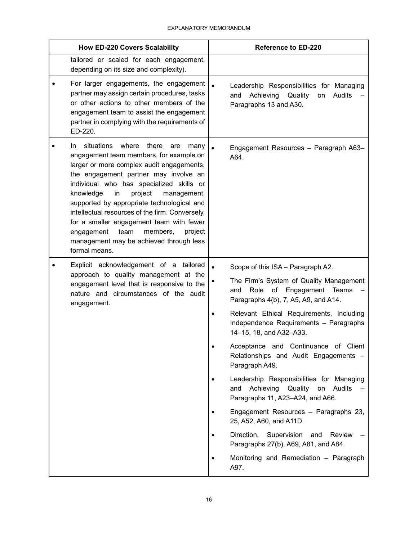| <b>How ED-220 Covers Scalability</b>                                                                                                                                                                                                                                                                                                                                                                                                                                                                                               | <b>Reference to ED-220</b>                                                                                                               |
|------------------------------------------------------------------------------------------------------------------------------------------------------------------------------------------------------------------------------------------------------------------------------------------------------------------------------------------------------------------------------------------------------------------------------------------------------------------------------------------------------------------------------------|------------------------------------------------------------------------------------------------------------------------------------------|
| tailored or scaled for each engagement,<br>depending on its size and complexity).                                                                                                                                                                                                                                                                                                                                                                                                                                                  |                                                                                                                                          |
| For larger engagements, the engagement<br>partner may assign certain procedures, tasks<br>or other actions to other members of the<br>engagement team to assist the engagement<br>partner in complying with the requirements of<br>ED-220.                                                                                                                                                                                                                                                                                         | $\bullet$<br>Leadership Responsibilities for Managing<br>Achieving<br>Quality<br>Audits<br>and<br>on<br>Paragraphs 13 and A30.           |
| where<br>situations<br>there<br>In.<br>are<br>many<br>engagement team members, for example on<br>larger or more complex audit engagements,<br>the engagement partner may involve an<br>individual who has specialized skills or<br>knowledge<br>project<br>in<br>management,<br>supported by appropriate technological and<br>intellectual resources of the firm. Conversely,<br>for a smaller engagement team with fewer<br>team<br>engagement<br>members,<br>project<br>management may be achieved through less<br>formal means. | $\bullet$<br>Engagement Resources - Paragraph A63-<br>A64.                                                                               |
| Explicit acknowledgement of a tailored                                                                                                                                                                                                                                                                                                                                                                                                                                                                                             | Scope of this ISA - Paragraph A2.<br>$\bullet$                                                                                           |
| approach to quality management at the<br>engagement level that is responsive to the<br>nature and circumstances of the audit<br>engagement.                                                                                                                                                                                                                                                                                                                                                                                        | The Firm's System of Quality Management<br>Role of<br>Engagement Teams<br>and<br>Paragraphs 4(b), 7, A5, A9, and A14.                    |
|                                                                                                                                                                                                                                                                                                                                                                                                                                                                                                                                    | Relevant Ethical Requirements, Including<br>$\bullet$<br>Independence Requirements - Paragraphs<br>14-15, 18, and A32-A33.               |
|                                                                                                                                                                                                                                                                                                                                                                                                                                                                                                                                    | Acceptance and Continuance of Client<br>$\bullet$<br>Relationships and Audit Engagements -<br>Paragraph A49.                             |
|                                                                                                                                                                                                                                                                                                                                                                                                                                                                                                                                    | Leadership Responsibilities for Managing<br>$\bullet$<br>Achieving<br>Quality<br>on<br>Audits<br>and<br>Paragraphs 11, A23-A24, and A66. |
|                                                                                                                                                                                                                                                                                                                                                                                                                                                                                                                                    | Engagement Resources - Paragraphs 23,<br>$\bullet$<br>25, A52, A60, and A11D.                                                            |
|                                                                                                                                                                                                                                                                                                                                                                                                                                                                                                                                    | Direction, Supervision<br>and<br>Review<br>$\bullet$<br>Paragraphs 27(b), A69, A81, and A84.                                             |
|                                                                                                                                                                                                                                                                                                                                                                                                                                                                                                                                    | Monitoring and Remediation - Paragraph<br>$\bullet$<br>A97.                                                                              |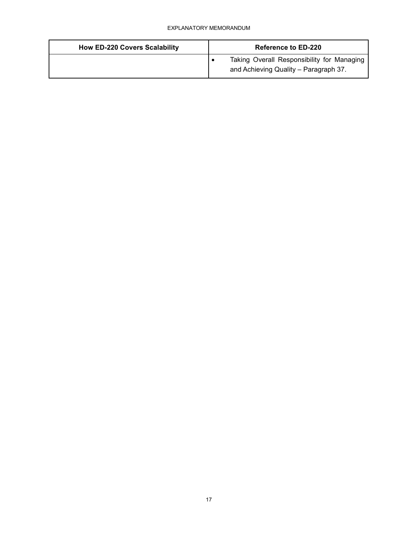| <b>How ED-220 Covers Scalability</b> | <b>Reference to ED-220</b>                                                          |
|--------------------------------------|-------------------------------------------------------------------------------------|
|                                      | Taking Overall Responsibility for Managing<br>and Achieving Quality - Paragraph 37. |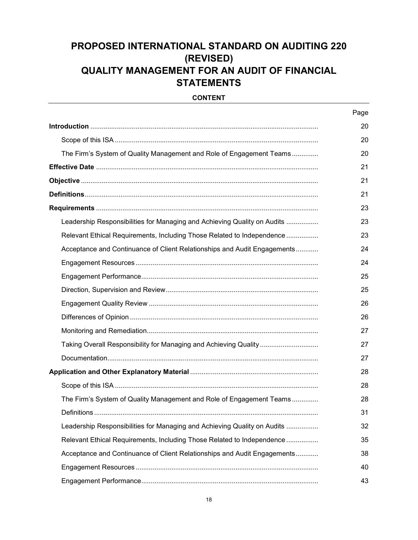# **PROPOSED INTERNATIONAL STANDARD ON AUDITING 220 (REVISED) QUALITY MANAGEMENT FOR AN AUDIT OF FINANCIAL STATEMENTS**

#### **CONTENT**

|                                                                          | Page |
|--------------------------------------------------------------------------|------|
|                                                                          | 20   |
|                                                                          | 20   |
| The Firm's System of Quality Management and Role of Engagement Teams     | 20   |
|                                                                          | 21   |
|                                                                          | 21   |
|                                                                          | 21   |
|                                                                          | 23   |
| Leadership Responsibilities for Managing and Achieving Quality on Audits | 23   |
| Relevant Ethical Requirements, Including Those Related to Independence   | 23   |
| Acceptance and Continuance of Client Relationships and Audit Engagements | 24   |
|                                                                          | 24   |
|                                                                          | 25   |
|                                                                          | 25   |
|                                                                          | 26   |
|                                                                          | 26   |
|                                                                          | 27   |
| Taking Overall Responsibility for Managing and Achieving Quality         | 27   |
|                                                                          | 27   |
|                                                                          | 28   |
|                                                                          | 28   |
| The Firm's System of Quality Management and Role of Engagement Teams     | 28   |
| Definitions.                                                             | 31   |
| Leadership Responsibilities for Managing and Achieving Quality on Audits | 32   |
| Relevant Ethical Requirements, Including Those Related to Independence   | 35   |
| Acceptance and Continuance of Client Relationships and Audit Engagements | 38   |
|                                                                          | 40   |
|                                                                          | 43   |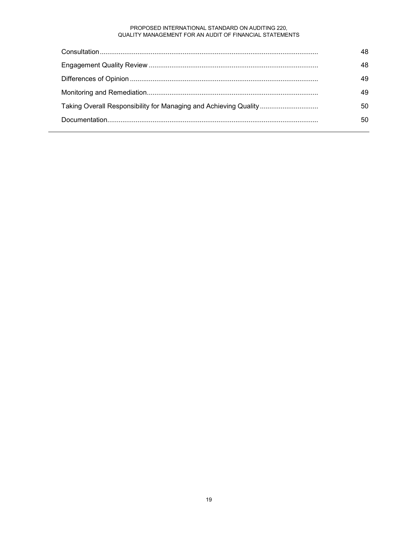#### PROPOSED INTERNATIONAL STANDARD ON AUDITING 220, QUALITY MANAGEMENT FOR AN AUDIT OF FINANCIAL STATEMENTS

|                                                                  | 48 |
|------------------------------------------------------------------|----|
|                                                                  | 48 |
|                                                                  | 49 |
|                                                                  | 49 |
| Taking Overall Responsibility for Managing and Achieving Quality | 50 |
|                                                                  | 50 |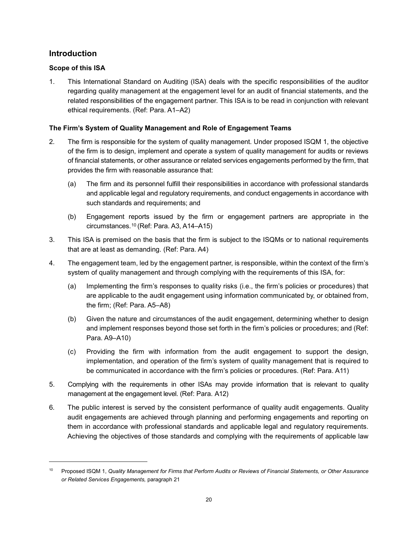### **Introduction**

j

### **Scope of this ISA**

1. This International Standard on Auditing (ISA) deals with the specific responsibilities of the auditor regarding quality management at the engagement level for an audit of financial statements, and the related responsibilities of the engagement partner. This ISA is to be read in conjunction with relevant ethical requirements. (Ref: Para. A1–A2)

### **The Firm's System of Quality Management and Role of Engagement Teams**

- 2. The firm is responsible for the system of quality management. Under proposed ISQM 1, the objective of the firm is to design, implement and operate a system of quality management for audits or reviews of financial statements, or other assurance or related services engagements performed by the firm, that provides the firm with reasonable assurance that:
	- (a) The firm and its personnel fulfill their responsibilities in accordance with professional standards and applicable legal and regulatory requirements, and conduct engagements in accordance with such standards and requirements; and
	- (b) Engagement reports issued by the firm or engagement partners are appropriate in the circumstances.10 (Ref: Para. A3, A14–A15)
- 3. This ISA is premised on the basis that the firm is subject to the ISQMs or to national requirements that are at least as demanding. (Ref: Para. A4)
- 4. The engagement team, led by the engagement partner, is responsible, within the context of the firm's system of quality management and through complying with the requirements of this ISA, for:
	- (a) Implementing the firm's responses to quality risks (i.e., the firm's policies or procedures) that are applicable to the audit engagement using information communicated by, or obtained from, the firm; (Ref: Para. A5–A8)
	- (b) Given the nature and circumstances of the audit engagement, determining whether to design and implement responses beyond those set forth in the firm's policies or procedures; and (Ref: Para. A9–A10)
	- (c) Providing the firm with information from the audit engagement to support the design, implementation, and operation of the firm's system of quality management that is required to be communicated in accordance with the firm's policies or procedures. (Ref: Para. A11)
- 5. Complying with the requirements in other ISAs may provide information that is relevant to quality management at the engagement level. (Ref: Para. A12)
- 6. The public interest is served by the consistent performance of quality audit engagements. Quality audit engagements are achieved through planning and performing engagements and reporting on them in accordance with professional standards and applicable legal and regulatory requirements. Achieving the objectives of those standards and complying with the requirements of applicable law

<sup>10</sup> Proposed ISQM 1, *Quality Management for Firms that Perform Audits or Reviews of Financial Statements, or Other Assurance or Related Services Engagements,* paragraph 21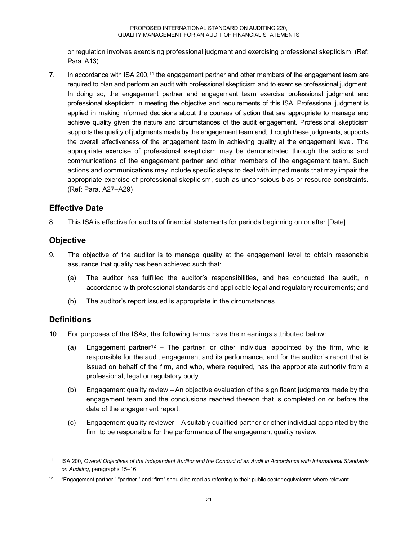or regulation involves exercising professional judgment and exercising professional skepticism. (Ref: Para. A13)

7. In accordance with ISA 200,<sup>11</sup> the engagement partner and other members of the engagement team are required to plan and perform an audit with professional skepticism and to exercise professional judgment. In doing so, the engagement partner and engagement team exercise professional judgment and professional skepticism in meeting the objective and requirements of this ISA. Professional judgment is applied in making informed decisions about the courses of action that are appropriate to manage and achieve quality given the nature and circumstances of the audit engagement. Professional skepticism supports the quality of judgments made by the engagement team and, through these judgments, supports the overall effectiveness of the engagement team in achieving quality at the engagement level. The appropriate exercise of professional skepticism may be demonstrated through the actions and communications of the engagement partner and other members of the engagement team. Such actions and communications may include specific steps to deal with impediments that may impair the appropriate exercise of professional skepticism, such as unconscious bias or resource constraints. (Ref: Para. A27–A29)

### **Effective Date**

8. This ISA is effective for audits of financial statements for periods beginning on or after [Date].

### **Objective**

- 9. The objective of the auditor is to manage quality at the engagement level to obtain reasonable assurance that quality has been achieved such that:
	- (a) The auditor has fulfilled the auditor's responsibilities, and has conducted the audit, in accordance with professional standards and applicable legal and regulatory requirements; and
	- (b) The auditor's report issued is appropriate in the circumstances.

### **Definitions**

j

- 10. For purposes of the ISAs, the following terms have the meanings attributed below:
	- (a) Engagement partner<sup>12</sup> The partner, or other individual appointed by the firm, who is responsible for the audit engagement and its performance, and for the auditor's report that is issued on behalf of the firm, and who, where required, has the appropriate authority from a professional, legal or regulatory body.
	- (b) Engagement quality review An objective evaluation of the significant judgments made by the engagement team and the conclusions reached thereon that is completed on or before the date of the engagement report.
	- (c) Engagement quality reviewer A suitably qualified partner or other individual appointed by the firm to be responsible for the performance of the engagement quality review.

<sup>11</sup> ISA 200, *Overall Objectives of the Independent Auditor and the Conduct of an Audit in Accordance with International Standards on Auditing*, paragraphs 15–16

<sup>&</sup>lt;sup>12</sup> "Engagement partner," "partner," and "firm" should be read as referring to their public sector equivalents where relevant.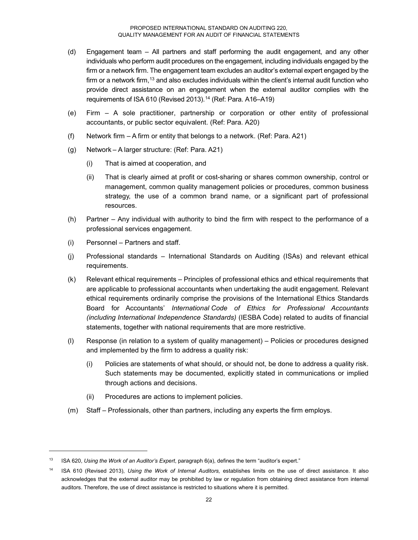- (d) Engagement team All partners and staff performing the audit engagement, and any other individuals who perform audit procedures on the engagement, including individuals engaged by the firm or a network firm. The engagement team excludes an auditor's external expert engaged by the firm or a network firm,<sup>13</sup> and also excludes individuals within the client's internal audit function who provide direct assistance on an engagement when the external auditor complies with the requirements of ISA 610 (Revised 2013).<sup>14</sup> (Ref: Para. A16-A19)
- (e) Firm A sole practitioner, partnership or corporation or other entity of professional accountants, or public sector equivalent. (Ref: Para. A20)
- (f) Network firm A firm or entity that belongs to a network. (Ref: Para. A21)
- (g) Network A larger structure: (Ref: Para. A21)
	- (i) That is aimed at cooperation, and
	- (ii) That is clearly aimed at profit or cost-sharing or shares common ownership, control or management, common quality management policies or procedures, common business strategy, the use of a common brand name, or a significant part of professional resources.
- (h) Partner Any individual with authority to bind the firm with respect to the performance of a professional services engagement.
- (i) Personnel Partners and staff.

- (j) Professional standards International Standards on Auditing (ISAs) and relevant ethical requirements.
- (k) Relevant ethical requirements Principles of professional ethics and ethical requirements that are applicable to professional accountants when undertaking the audit engagement. Relevant ethical requirements ordinarily comprise the provisions of the International Ethics Standards Board for Accountants' *International Code of Ethics for Professional Accountants (including International Independence Standards)* (IESBA Code) related to audits of financial statements, together with national requirements that are more restrictive.
- (l) Response (in relation to a system of quality management) Policies or procedures designed and implemented by the firm to address a quality risk:
	- (i) Policies are statements of what should, or should not, be done to address a quality risk. Such statements may be documented, explicitly stated in communications or implied through actions and decisions.
	- (ii) Procedures are actions to implement policies.
- (m) Staff Professionals, other than partners, including any experts the firm employs.

<sup>13</sup> ISA 620, *Using the Work of an Auditor's Expert*, paragraph 6(a), defines the term "auditor's expert."

<sup>14</sup> ISA 610 (Revised 2013), *Using the Work of Internal Auditors,* establishes limits on the use of direct assistance. It also acknowledges that the external auditor may be prohibited by law or regulation from obtaining direct assistance from internal auditors. Therefore, the use of direct assistance is restricted to situations where it is permitted.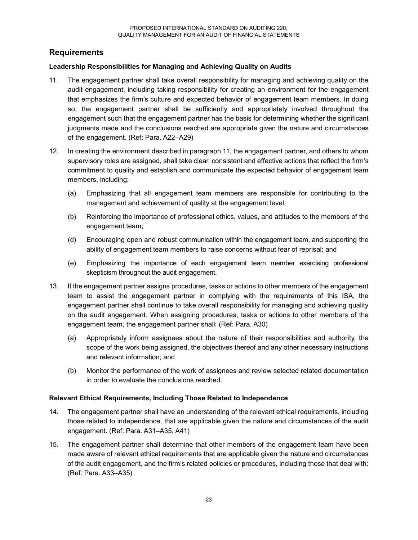### **Requirements**

### **Leadership Responsibilities for Managing and Achieving Quality on Audits**

- 11. The engagement partner shall take overall responsibility for managing and achieving quality on the audit engagement, including taking responsibility for creating an environment for the engagement that emphasizes the firm's culture and expected behavior of engagement team members. In doing so, the engagement partner shall be sufficiently and appropriately involved throughout the engagement such that the engagement partner has the basis for determining whether the significant judgments made and the conclusions reached are appropriate given the nature and circumstances of the engagement. (Ref: Para. A22–A29)
- 12. In creating the environment described in paragraph 11, the engagement partner, and others to whom supervisory roles are assigned, shall take clear, consistent and effective actions that reflect the firm's commitment to quality and establish and communicate the expected behavior of engagement team members, including:
	- (a) Emphasizing that all engagement team members are responsible for contributing to the management and achievement of quality at the engagement level;
	- (b) Reinforcing the importance of professional ethics, values, and attitudes to the members of the engagement team;
	- (d) Encouraging open and robust communication within the engagement team, and supporting the ability of engagement team members to raise concerns without fear of reprisal; and
	- (e) Emphasizing the importance of each engagement team member exercising professional skepticism throughout the audit engagement.
- 13. If the engagement partner assigns procedures, tasks or actions to other members of the engagement team to assist the engagement partner in complying with the requirements of this ISA, the engagement partner shall continue to take overall responsibility for managing and achieving quality on the audit engagement. When assigning procedures, tasks or actions to other members of the engagement team, the engagement partner shall: (Ref: Para. A30)
	- (a) Appropriately inform assignees about the nature of their responsibilities and authority, the scope of the work being assigned, the objectives thereof and any other necessary instructions and relevant information; and
	- (b) Monitor the performance of the work of assignees and review selected related documentation in order to evaluate the conclusions reached.

### **Relevant Ethical Requirements, Including Those Related to Independence**

- 14. The engagement partner shall have an understanding of the relevant ethical requirements, including those related to independence, that are applicable given the nature and circumstances of the audit engagement. (Ref: Para. A31–A35, A41)
- 15. The engagement partner shall determine that other members of the engagement team have been made aware of relevant ethical requirements that are applicable given the nature and circumstances of the audit engagement, and the firm's related policies or procedures, including those that deal with: (Ref: Para. A33–A35)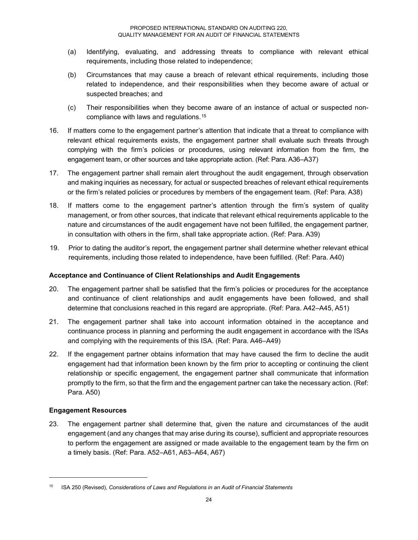- (a) Identifying, evaluating, and addressing threats to compliance with relevant ethical requirements, including those related to independence;
- (b) Circumstances that may cause a breach of relevant ethical requirements, including those related to independence, and their responsibilities when they become aware of actual or suspected breaches; and
- (c) Their responsibilities when they become aware of an instance of actual or suspected noncompliance with laws and regulations.15
- 16. If matters come to the engagement partner's attention that indicate that a threat to compliance with relevant ethical requirements exists, the engagement partner shall evaluate such threats through complying with the firm's policies or procedures, using relevant information from the firm, the engagement team, or other sources and take appropriate action. (Ref: Para. A36–A37)
- 17. The engagement partner shall remain alert throughout the audit engagement, through observation and making inquiries as necessary, for actual or suspected breaches of relevant ethical requirements or the firm's related policies or procedures by members of the engagement team. (Ref: Para. A38)
- 18. If matters come to the engagement partner's attention through the firm's system of quality management, or from other sources, that indicate that relevant ethical requirements applicable to the nature and circumstances of the audit engagement have not been fulfilled, the engagement partner, in consultation with others in the firm, shall take appropriate action. (Ref: Para. A39)
- 19. Prior to dating the auditor's report, the engagement partner shall determine whether relevant ethical requirements, including those related to independence, have been fulfilled. (Ref: Para. A40)

### **Acceptance and Continuance of Client Relationships and Audit Engagements**

- 20. The engagement partner shall be satisfied that the firm's policies or procedures for the acceptance and continuance of client relationships and audit engagements have been followed, and shall determine that conclusions reached in this regard are appropriate. (Ref: Para. A42–A45, A51)
- 21. The engagement partner shall take into account information obtained in the acceptance and continuance process in planning and performing the audit engagement in accordance with the ISAs and complying with the requirements of this ISA. (Ref: Para. A46–A49)
- 22. If the engagement partner obtains information that may have caused the firm to decline the audit engagement had that information been known by the firm prior to accepting or continuing the client relationship or specific engagement, the engagement partner shall communicate that information promptly to the firm, so that the firm and the engagement partner can take the necessary action. (Ref: Para. A50)

### **Engagement Resources**

-

23. The engagement partner shall determine that, given the nature and circumstances of the audit engagement (and any changes that may arise during its course), sufficient and appropriate resources to perform the engagement are assigned or made available to the engagement team by the firm on a timely basis. (Ref: Para. A52–A61, A63–A64, A67)

<sup>15</sup> ISA 250 (Revised), *Considerations of Laws and Regulations in an Audit of Financial Statements*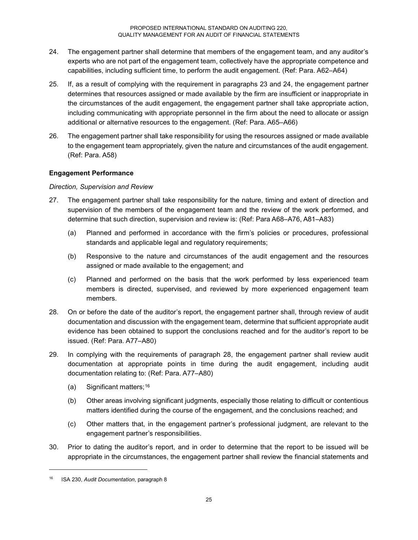- 24. The engagement partner shall determine that members of the engagement team, and any auditor's experts who are not part of the engagement team, collectively have the appropriate competence and capabilities, including sufficient time, to perform the audit engagement. (Ref: Para. A62–A64)
- 25. If, as a result of complying with the requirement in paragraphs 23 and 24, the engagement partner determines that resources assigned or made available by the firm are insufficient or inappropriate in the circumstances of the audit engagement, the engagement partner shall take appropriate action, including communicating with appropriate personnel in the firm about the need to allocate or assign additional or alternative resources to the engagement. (Ref: Para. A65–A66)
- 26. The engagement partner shall take responsibility for using the resources assigned or made available to the engagement team appropriately, given the nature and circumstances of the audit engagement. (Ref: Para. A58)

### **Engagement Performance**

### *Direction, Supervision and Review*

- 27. The engagement partner shall take responsibility for the nature, timing and extent of direction and supervision of the members of the engagement team and the review of the work performed, and determine that such direction, supervision and review is: (Ref: Para A68–A76, A81–A83)
	- (a) Planned and performed in accordance with the firm's policies or procedures, professional standards and applicable legal and regulatory requirements;
	- (b) Responsive to the nature and circumstances of the audit engagement and the resources assigned or made available to the engagement; and
	- (c) Planned and performed on the basis that the work performed by less experienced team members is directed, supervised, and reviewed by more experienced engagement team members.
- 28. On or before the date of the auditor's report, the engagement partner shall, through review of audit documentation and discussion with the engagement team, determine that sufficient appropriate audit evidence has been obtained to support the conclusions reached and for the auditor's report to be issued. (Ref: Para. A77–A80)
- 29. In complying with the requirements of paragraph 28, the engagement partner shall review audit documentation at appropriate points in time during the audit engagement, including audit documentation relating to: (Ref: Para. A77–A80)
	- (a) Significant matters;16
	- (b) Other areas involving significant judgments, especially those relating to difficult or contentious matters identified during the course of the engagement, and the conclusions reached; and
	- (c) Other matters that, in the engagement partner's professional judgment, are relevant to the engagement partner's responsibilities.
- 30. Prior to dating the auditor's report, and in order to determine that the report to be issued will be appropriate in the circumstances, the engagement partner shall review the financial statements and

j

<sup>16</sup> ISA 230, *Audit Documentation*, paragraph 8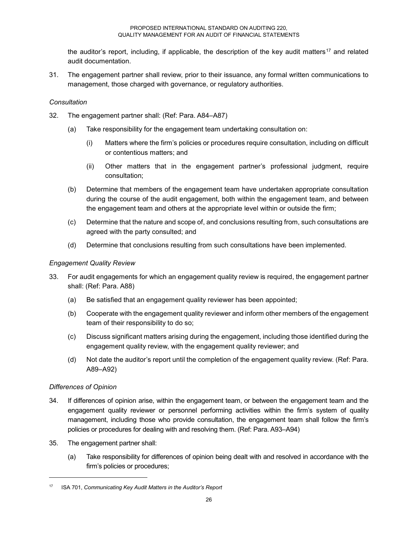the auditor's report, including, if applicable, the description of the key audit matters<sup>17</sup> and related audit documentation.

31. The engagement partner shall review, prior to their issuance, any formal written communications to management, those charged with governance, or regulatory authorities.

### *Consultation*

- 32. The engagement partner shall: (Ref: Para. A84–A87)
	- (a) Take responsibility for the engagement team undertaking consultation on:
		- (i) Matters where the firm's policies or procedures require consultation, including on difficult or contentious matters; and
		- (ii) Other matters that in the engagement partner's professional judgment, require consultation;
	- (b) Determine that members of the engagement team have undertaken appropriate consultation during the course of the audit engagement, both within the engagement team, and between the engagement team and others at the appropriate level within or outside the firm;
	- (c) Determine that the nature and scope of, and conclusions resulting from, such consultations are agreed with the party consulted; and
	- (d) Determine that conclusions resulting from such consultations have been implemented.

### *Engagement Quality Review*

- 33. For audit engagements for which an engagement quality review is required, the engagement partner shall: (Ref: Para. A88)
	- (a) Be satisfied that an engagement quality reviewer has been appointed;
	- (b) Cooperate with the engagement quality reviewer and inform other members of the engagement team of their responsibility to do so;
	- (c) Discuss significant matters arising during the engagement, including those identified during the engagement quality review, with the engagement quality reviewer; and
	- (d) Not date the auditor's report until the completion of the engagement quality review. (Ref: Para. A89–A92)

### *Differences of Opinion*

- 34. If differences of opinion arise, within the engagement team, or between the engagement team and the engagement quality reviewer or personnel performing activities within the firm's system of quality management, including those who provide consultation, the engagement team shall follow the firm's policies or procedures for dealing with and resolving them. (Ref: Para. A93–A94)
- 35. The engagement partner shall:
	- (a) Take responsibility for differences of opinion being dealt with and resolved in accordance with the firm's policies or procedures;

<sup>17</sup> ISA 701, *Communicating Key Audit Matters in the Auditor's Report*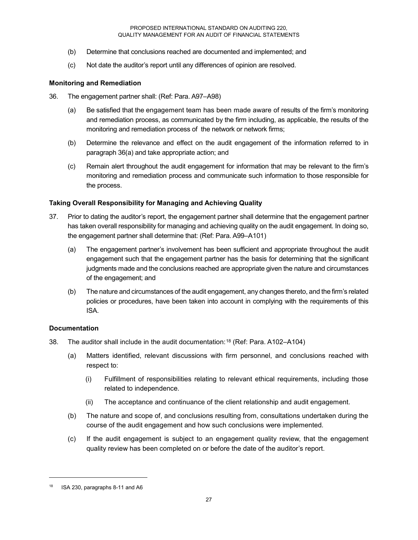- (b) Determine that conclusions reached are documented and implemented; and
- (c) Not date the auditor's report until any differences of opinion are resolved.

### **Monitoring and Remediation**

- 36. The engagement partner shall: (Ref: Para. A97–A98)
	- (a) Be satisfied that the engagement team has been made aware of results of the firm's monitoring and remediation process, as communicated by the firm including, as applicable, the results of the monitoring and remediation process of the network or network firms;
	- (b) Determine the relevance and effect on the audit engagement of the information referred to in paragraph 36(a) and take appropriate action; and
	- (c) Remain alert throughout the audit engagement for information that may be relevant to the firm's monitoring and remediation process and communicate such information to those responsible for the process.

### **Taking Overall Responsibility for Managing and Achieving Quality**

- 37. Prior to dating the auditor's report, the engagement partner shall determine that the engagement partner has taken overall responsibility for managing and achieving quality on the audit engagement. In doing so, the engagement partner shall determine that: (Ref: Para. A99–A101)
	- (a) The engagement partner's involvement has been sufficient and appropriate throughout the audit engagement such that the engagement partner has the basis for determining that the significant judgments made and the conclusions reached are appropriate given the nature and circumstances of the engagement; and
	- (b) The nature and circumstances of the audit engagement, any changes thereto, and the firm's related policies or procedures, have been taken into account in complying with the requirements of this ISA.

### **Documentation**

- 38. The auditor shall include in the audit documentation:18 (Ref: Para. A102–A104)
	- (a) Matters identified, relevant discussions with firm personnel, and conclusions reached with respect to:
		- (i) Fulfillment of responsibilities relating to relevant ethical requirements, including those related to independence.
		- (ii) The acceptance and continuance of the client relationship and audit engagement.
	- (b) The nature and scope of, and conclusions resulting from, consultations undertaken during the course of the audit engagement and how such conclusions were implemented.
	- (c) If the audit engagement is subject to an engagement quality review, that the engagement quality review has been completed on or before the date of the auditor's report.

<sup>18</sup> ISA 230, paragraphs 8-11 and A6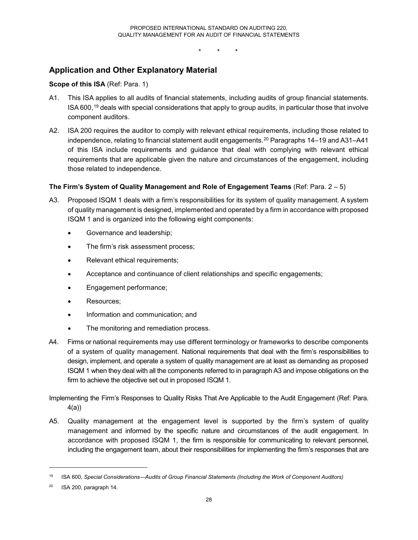\* \* \*

### **Application and Other Explanatory Material**

### **Scope of this ISA** (Ref: Para. 1)

- A1. This ISA applies to all audits of financial statements, including audits of group financial statements. ISA 600,19 deals with special considerations that apply to group audits, in particular those that involve component auditors.
- A2. ISA 200 requires the auditor to comply with relevant ethical requirements, including those related to independence, relating to financial statement audit engagements.20 Paragraphs 14–19 and A31–A41 of this ISA include requirements and guidance that deal with complying with relevant ethical requirements that are applicable given the nature and circumstances of the engagement, including those related to independence.

### **The Firm's System of Quality Management and Role of Engagement Teams** (Ref: Para. 2 – 5)

- A3. Proposed ISQM 1 deals with a firm's responsibilities for its system of quality management. A system of quality management is designed, implemented and operated by a firm in accordance with proposed ISQM 1 and is organized into the following eight components:
	- Governance and leadership;
	- The firm's risk assessment process;
	- Relevant ethical requirements;
	- Acceptance and continuance of client relationships and specific engagements;
	- Engagement performance;
	- Resources;
	- Information and communication; and
	- The monitoring and remediation process.
- A4. Firms or national requirements may use different terminology or frameworks to describe components of a system of quality management. National requirements that deal with the firm's responsibilities to design, implement, and operate a system of quality management are at least as demanding as proposed ISQM 1 when they deal with all the components referred to in paragraph A3 and impose obligations on the firm to achieve the objective set out in proposed ISQM 1.

Implementing the Firm's Responses to Quality Risks That Are Applicable to the Audit Engagement (Ref: Para. 4(a))

A5. Quality management at the engagement level is supported by the firm's system of quality management and informed by the specific nature and circumstances of the audit engagement. In accordance with proposed ISQM 1, the firm is responsible for communicating to relevant personnel, including the engagement team, about their responsibilities for implementing the firm's responses that are

<sup>19</sup> ISA 600, *Special Considerations—Audits of Group Financial Statements (Including the Work of Component Auditors)*

<sup>20</sup> ISA 200, paragraph 14.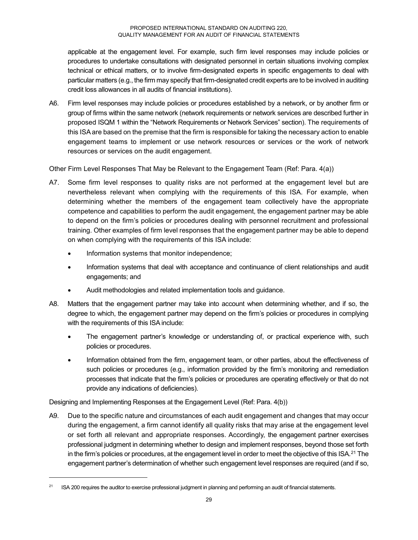applicable at the engagement level. For example, such firm level responses may include policies or procedures to undertake consultations with designated personnel in certain situations involving complex technical or ethical matters, or to involve firm-designated experts in specific engagements to deal with particular matters (e.g., the firm may specify that firm-designated credit experts are to be involved in auditing credit loss allowances in all audits of financial institutions).

A6. Firm level responses may include policies or procedures established by a network, or by another firm or group of firms within the same network (network requirements or network services are described further in proposed ISQM 1 within the "Network Requirements or Network Services" section). The requirements of this ISA are based on the premise that the firm is responsible for taking the necessary action to enable engagement teams to implement or use network resources or services or the work of network resources or services on the audit engagement.

Other Firm Level Responses That May be Relevant to the Engagement Team (Ref: Para. 4(a))

- A7. Some firm level responses to quality risks are not performed at the engagement level but are nevertheless relevant when complying with the requirements of this ISA. For example, when determining whether the members of the engagement team collectively have the appropriate competence and capabilities to perform the audit engagement, the engagement partner may be able to depend on the firm's policies or procedures dealing with personnel recruitment and professional training. Other examples of firm level responses that the engagement partner may be able to depend on when complying with the requirements of this ISA include:
	- Information systems that monitor independence;
	- Information systems that deal with acceptance and continuance of client relationships and audit engagements; and
	- Audit methodologies and related implementation tools and guidance.
- A8. Matters that the engagement partner may take into account when determining whether, and if so, the degree to which, the engagement partner may depend on the firm's policies or procedures in complying with the requirements of this ISA include:
	- The engagement partner's knowledge or understanding of, or practical experience with, such policies or procedures.
	- Information obtained from the firm, engagement team, or other parties, about the effectiveness of such policies or procedures (e.g., information provided by the firm's monitoring and remediation processes that indicate that the firm's policies or procedures are operating effectively or that do not provide any indications of deficiencies).

Designing and Implementing Responses at the Engagement Level (Ref: Para. 4(b))

-

A9. Due to the specific nature and circumstances of each audit engagement and changes that may occur during the engagement, a firm cannot identify all quality risks that may arise at the engagement level or set forth all relevant and appropriate responses. Accordingly, the engagement partner exercises professional judgment in determining whether to design and implement responses, beyond those set forth in the firm's policies or procedures, at the engagement level in order to meet the objective of this ISA.<sup>21</sup> The engagement partner's determination of whether such engagement level responses are required (and if so,

<sup>&</sup>lt;sup>21</sup> ISA 200 requires the auditor to exercise professional judgment in planning and performing an audit of financial statements.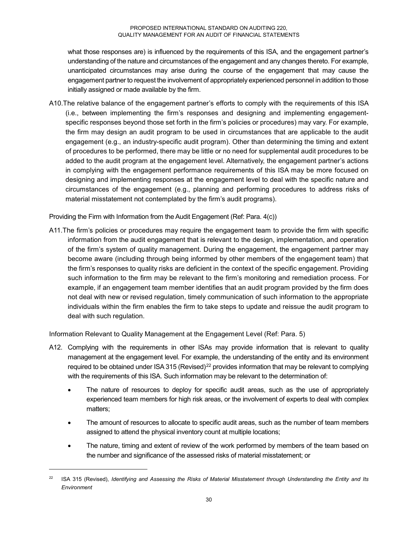what those responses are) is influenced by the requirements of this ISA, and the engagement partner's understanding of the nature and circumstances of the engagement and any changes thereto. For example, unanticipated circumstances may arise during the course of the engagement that may cause the engagement partner to request the involvement of appropriately experienced personnel in addition to those initially assigned or made available by the firm.

A10.The relative balance of the engagement partner's efforts to comply with the requirements of this ISA (i.e., between implementing the firm's responses and designing and implementing engagementspecific responses beyond those set forth in the firm's policies or procedures) may vary. For example, the firm may design an audit program to be used in circumstances that are applicable to the audit engagement (e.g., an industry-specific audit program). Other than determining the timing and extent of procedures to be performed, there may be little or no need for supplemental audit procedures to be added to the audit program at the engagement level. Alternatively, the engagement partner's actions in complying with the engagement performance requirements of this ISA may be more focused on designing and implementing responses at the engagement level to deal with the specific nature and circumstances of the engagement (e.g., planning and performing procedures to address risks of material misstatement not contemplated by the firm's audit programs).

Providing the Firm with Information from the Audit Engagement (Ref: Para. 4(c))

A11.The firm's policies or procedures may require the engagement team to provide the firm with specific information from the audit engagement that is relevant to the design, implementation, and operation of the firm's system of quality management. During the engagement, the engagement partner may become aware (including through being informed by other members of the engagement team) that the firm's responses to quality risks are deficient in the context of the specific engagement. Providing such information to the firm may be relevant to the firm's monitoring and remediation process. For example, if an engagement team member identifies that an audit program provided by the firm does not deal with new or revised regulation, timely communication of such information to the appropriate individuals within the firm enables the firm to take steps to update and reissue the audit program to deal with such regulation.

Information Relevant to Quality Management at the Engagement Level (Ref: Para. 5)

- A12. Complying with the requirements in other ISAs may provide information that is relevant to quality management at the engagement level. For example, the understanding of the entity and its environment required to be obtained under ISA 315 (Revised)<sup>22</sup> provides information that may be relevant to complying with the requirements of this ISA. Such information may be relevant to the determination of:
	- The nature of resources to deploy for specific audit areas, such as the use of appropriately experienced team members for high risk areas, or the involvement of experts to deal with complex matters;
	- The amount of resources to allocate to specific audit areas, such as the number of team members assigned to attend the physical inventory count at multiple locations;
	- The nature, timing and extent of review of the work performed by members of the team based on the number and significance of the assessed risks of material misstatement; or

<sup>22</sup> ISA 315 (Revised), *Identifying and Assessing the Risks of Material Misstatement through Understanding the Entity and Its Environment*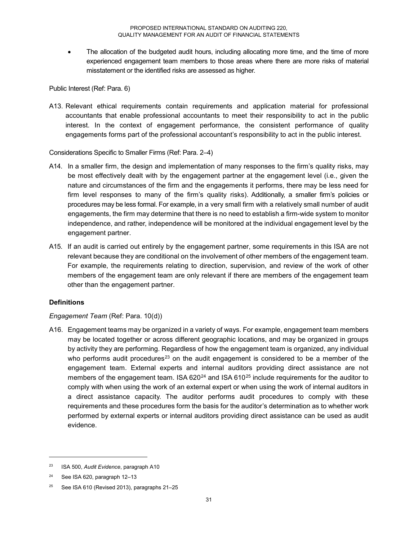The allocation of the budgeted audit hours, including allocating more time, and the time of more experienced engagement team members to those areas where there are more risks of material misstatement or the identified risks are assessed as higher.

Public Interest (Ref: Para. 6)

A13. Relevant ethical requirements contain requirements and application material for professional accountants that enable professional accountants to meet their responsibility to act in the public interest. In the context of engagement performance, the consistent performance of quality engagements forms part of the professional accountant's responsibility to act in the public interest.

Considerations Specific to Smaller Firms (Ref: Para. 2–4)

- A14. In a smaller firm, the design and implementation of many responses to the firm's quality risks, may be most effectively dealt with by the engagement partner at the engagement level (i.e., given the nature and circumstances of the firm and the engagements it performs, there may be less need for firm level responses to many of the firm's quality risks). Additionally, a smaller firm's policies or procedures may be less formal. For example, in a very small firm with a relatively small number of audit engagements, the firm may determine that there is no need to establish a firm-wide system to monitor independence, and rather, independence will be monitored at the individual engagement level by the engagement partner.
- A15. If an audit is carried out entirely by the engagement partner, some requirements in this ISA are not relevant because they are conditional on the involvement of other members of the engagement team. For example, the requirements relating to direction, supervision, and review of the work of other members of the engagement team are only relevant if there are members of the engagement team other than the engagement partner.

### **Definitions**

### *Engagement Team* (Ref: Para. 10(d))

A16. Engagement teams may be organized in a variety of ways. For example, engagement team members may be located together or across different geographic locations, and may be organized in groups by activity they are performing. Regardless of how the engagement team is organized, any individual who performs audit procedures<sup>23</sup> on the audit engagement is considered to be a member of the engagement team. External experts and internal auditors providing direct assistance are not members of the engagement team. ISA  $620^{24}$  and ISA  $610^{25}$  include requirements for the auditor to comply with when using the work of an external expert or when using the work of internal auditors in a direct assistance capacity. The auditor performs audit procedures to comply with these requirements and these procedures form the basis for the auditor's determination as to whether work performed by external experts or internal auditors providing direct assistance can be used as audit evidence.

<sup>23</sup> ISA 500, *Audit Evidence*, paragraph A10

<sup>&</sup>lt;sup>24</sup> See ISA 620, paragraph 12-13

<sup>&</sup>lt;sup>25</sup> See ISA 610 (Revised 2013), paragraphs  $21-25$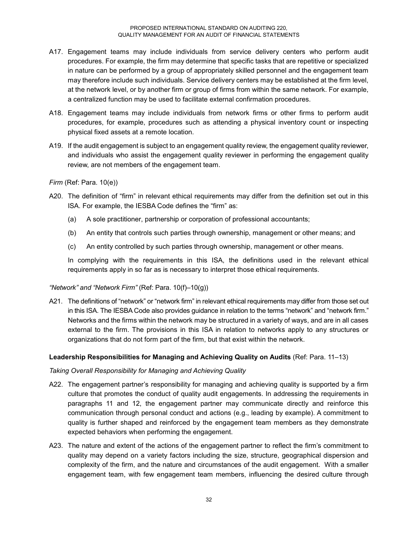- A17. Engagement teams may include individuals from service delivery centers who perform audit procedures. For example, the firm may determine that specific tasks that are repetitive or specialized in nature can be performed by a group of appropriately skilled personnel and the engagement team may therefore include such individuals. Service delivery centers may be established at the firm level, at the network level, or by another firm or group of firms from within the same network. For example, a centralized function may be used to facilitate external confirmation procedures.
- A18. Engagement teams may include individuals from network firms or other firms to perform audit procedures, for example, procedures such as attending a physical inventory count or inspecting physical fixed assets at a remote location.
- A19. If the audit engagement is subject to an engagement quality review, the engagement quality reviewer, and individuals who assist the engagement quality reviewer in performing the engagement quality review, are not members of the engagement team.

*Firm* (Ref: Para. 10(e))

- A20. The definition of "firm" in relevant ethical requirements may differ from the definition set out in this ISA. For example, the IESBA Code defines the "firm" as:
	- (a) A sole practitioner, partnership or corporation of professional accountants;
	- (b) An entity that controls such parties through ownership, management or other means; and
	- (c) An entity controlled by such parties through ownership, management or other means.

In complying with the requirements in this ISA, the definitions used in the relevant ethical requirements apply in so far as is necessary to interpret those ethical requirements.

### *"Network" and "Network Firm"* (Ref: Para. 10(f)–10(g))

A21. The definitions of "network" or "network firm" in relevant ethical requirements may differ from those set out in this ISA. The IESBA Code also provides guidance in relation to the terms "network" and "network firm." Networks and the firms within the network may be structured in a variety of ways, and are in all cases external to the firm. The provisions in this ISA in relation to networks apply to any structures or organizations that do not form part of the firm, but that exist within the network.

### **Leadership Responsibilities for Managing and Achieving Quality on Audits** (Ref: Para. 11–13)

### *Taking Overall Responsibility for Managing and Achieving Quality*

- A22. The engagement partner's responsibility for managing and achieving quality is supported by a firm culture that promotes the conduct of quality audit engagements. In addressing the requirements in paragraphs 11 and 12, the engagement partner may communicate directly and reinforce this communication through personal conduct and actions (e.g., leading by example). A commitment to quality is further shaped and reinforced by the engagement team members as they demonstrate expected behaviors when performing the engagement.
- A23. The nature and extent of the actions of the engagement partner to reflect the firm's commitment to quality may depend on a variety factors including the size, structure, geographical dispersion and complexity of the firm, and the nature and circumstances of the audit engagement. With a smaller engagement team, with few engagement team members, influencing the desired culture through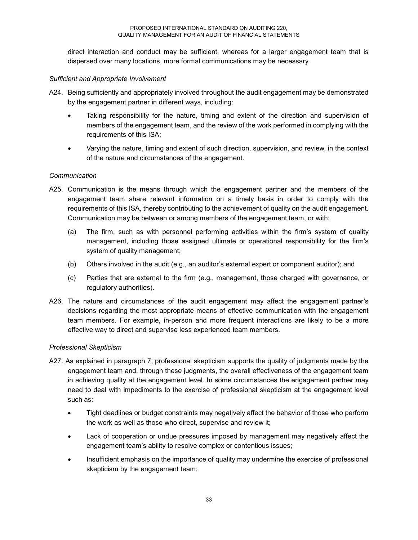direct interaction and conduct may be sufficient, whereas for a larger engagement team that is dispersed over many locations, more formal communications may be necessary.

### *Sufficient and Appropriate Involvement*

- A24. Being sufficiently and appropriately involved throughout the audit engagement may be demonstrated by the engagement partner in different ways, including:
	- Taking responsibility for the nature, timing and extent of the direction and supervision of members of the engagement team, and the review of the work performed in complying with the requirements of this ISA;
	- Varying the nature, timing and extent of such direction, supervision, and review, in the context of the nature and circumstances of the engagement.

### *Communication*

- A25. Communication is the means through which the engagement partner and the members of the engagement team share relevant information on a timely basis in order to comply with the requirements of this ISA, thereby contributing to the achievement of quality on the audit engagement. Communication may be between or among members of the engagement team, or with:
	- (a) The firm, such as with personnel performing activities within the firm's system of quality management, including those assigned ultimate or operational responsibility for the firm's system of quality management;
	- (b) Others involved in the audit (e.g., an auditor's external expert or component auditor); and
	- (c) Parties that are external to the firm (e.g., management, those charged with governance, or regulatory authorities).
- A26. The nature and circumstances of the audit engagement may affect the engagement partner's decisions regarding the most appropriate means of effective communication with the engagement team members. For example, in-person and more frequent interactions are likely to be a more effective way to direct and supervise less experienced team members.

### *Professional Skepticism*

- A27. As explained in paragraph 7, professional skepticism supports the quality of judgments made by the engagement team and, through these judgments, the overall effectiveness of the engagement team in achieving quality at the engagement level. In some circumstances the engagement partner may need to deal with impediments to the exercise of professional skepticism at the engagement level such as:
	- Tight deadlines or budget constraints may negatively affect the behavior of those who perform the work as well as those who direct, supervise and review it;
	- Lack of cooperation or undue pressures imposed by management may negatively affect the engagement team's ability to resolve complex or contentious issues;
	- Insufficient emphasis on the importance of quality may undermine the exercise of professional skepticism by the engagement team;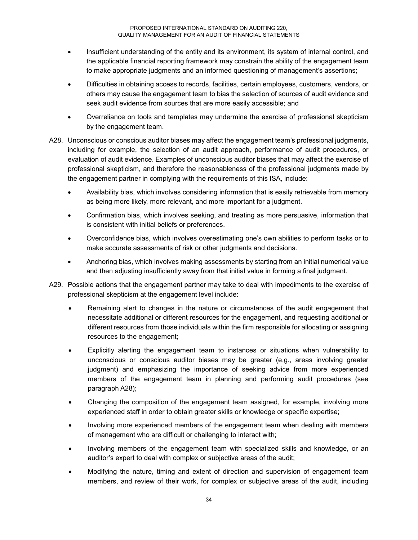- Insufficient understanding of the entity and its environment, its system of internal control, and the applicable financial reporting framework may constrain the ability of the engagement team to make appropriate judgments and an informed questioning of management's assertions;
- Difficulties in obtaining access to records, facilities, certain employees, customers, vendors, or others may cause the engagement team to bias the selection of sources of audit evidence and seek audit evidence from sources that are more easily accessible; and
- Overreliance on tools and templates may undermine the exercise of professional skepticism by the engagement team.
- A28. Unconscious or conscious auditor biases may affect the engagement team's professional judgments, including for example, the selection of an audit approach, performance of audit procedures, or evaluation of audit evidence. Examples of unconscious auditor biases that may affect the exercise of professional skepticism, and therefore the reasonableness of the professional judgments made by the engagement partner in complying with the requirements of this ISA, include:
	- Availability bias, which involves considering information that is easily retrievable from memory as being more likely, more relevant, and more important for a judgment.
	- Confirmation bias, which involves seeking, and treating as more persuasive, information that is consistent with initial beliefs or preferences.
	- Overconfidence bias, which involves overestimating one's own abilities to perform tasks or to make accurate assessments of risk or other judgments and decisions.
	- Anchoring bias, which involves making assessments by starting from an initial numerical value and then adjusting insufficiently away from that initial value in forming a final judgment.
- A29. Possible actions that the engagement partner may take to deal with impediments to the exercise of professional skepticism at the engagement level include:
	- Remaining alert to changes in the nature or circumstances of the audit engagement that necessitate additional or different resources for the engagement, and requesting additional or different resources from those individuals within the firm responsible for allocating or assigning resources to the engagement;
	- Explicitly alerting the engagement team to instances or situations when vulnerability to unconscious or conscious auditor biases may be greater (e.g., areas involving greater judgment) and emphasizing the importance of seeking advice from more experienced members of the engagement team in planning and performing audit procedures (see paragraph A28);
	- Changing the composition of the engagement team assigned, for example, involving more experienced staff in order to obtain greater skills or knowledge or specific expertise;
	- Involving more experienced members of the engagement team when dealing with members of management who are difficult or challenging to interact with;
	- Involving members of the engagement team with specialized skills and knowledge, or an auditor's expert to deal with complex or subjective areas of the audit;
	- Modifying the nature, timing and extent of direction and supervision of engagement team members, and review of their work, for complex or subjective areas of the audit, including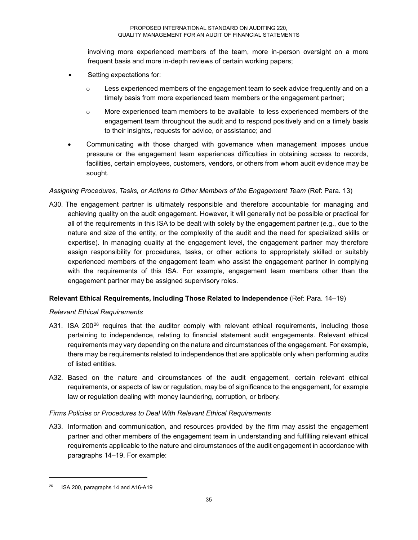involving more experienced members of the team, more in-person oversight on a more frequent basis and more in-depth reviews of certain working papers;

- Setting expectations for:
	- $\circ$  Less experienced members of the engagement team to seek advice frequently and on a timely basis from more experienced team members or the engagement partner;
	- $\circ$  More experienced team members to be available to less experienced members of the engagement team throughout the audit and to respond positively and on a timely basis to their insights, requests for advice, or assistance; and
- Communicating with those charged with governance when management imposes undue pressure or the engagement team experiences difficulties in obtaining access to records, facilities, certain employees, customers, vendors, or others from whom audit evidence may be sought.

### *Assigning Procedures, Tasks, or Actions to Other Members of the Engagement Team* (Ref: Para. 13)

A30. The engagement partner is ultimately responsible and therefore accountable for managing and achieving quality on the audit engagement. However, it will generally not be possible or practical for all of the requirements in this ISA to be dealt with solely by the engagement partner (e.g., due to the nature and size of the entity, or the complexity of the audit and the need for specialized skills or expertise). In managing quality at the engagement level, the engagement partner may therefore assign responsibility for procedures, tasks, or other actions to appropriately skilled or suitably experienced members of the engagement team who assist the engagement partner in complying with the requirements of this ISA. For example, engagement team members other than the engagement partner may be assigned supervisory roles.

### **Relevant Ethical Requirements, Including Those Related to Independence** (Ref: Para. 14–19)

### *Relevant Ethical Requirements*

- A31. ISA 200 $^{26}$  requires that the auditor comply with relevant ethical requirements, including those pertaining to independence, relating to financial statement audit engagements. Relevant ethical requirements may vary depending on the nature and circumstances of the engagement. For example, there may be requirements related to independence that are applicable only when performing audits of listed entities.
- A32. Based on the nature and circumstances of the audit engagement, certain relevant ethical requirements, or aspects of law or regulation, may be of significance to the engagement, for example law or regulation dealing with money laundering, corruption, or bribery.

### *Firms Policies or Procedures to Deal With Relevant Ethical Requirements*

A33. Information and communication, and resources provided by the firm may assist the engagement partner and other members of the engagement team in understanding and fulfilling relevant ethical requirements applicable to the nature and circumstances of the audit engagement in accordance with paragraphs 14–19. For example:

<sup>26</sup> ISA 200, paragraphs 14 and A16-A19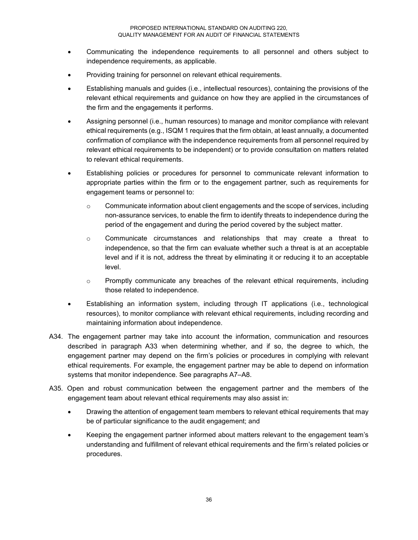- Communicating the independence requirements to all personnel and others subject to independence requirements, as applicable.
- Providing training for personnel on relevant ethical requirements.
- Establishing manuals and guides (i.e., intellectual resources), containing the provisions of the relevant ethical requirements and guidance on how they are applied in the circumstances of the firm and the engagements it performs.
- Assigning personnel (i.e., human resources) to manage and monitor compliance with relevant ethical requirements (e.g., ISQM 1 requires that the firm obtain, at least annually, a documented confirmation of compliance with the independence requirements from all personnel required by relevant ethical requirements to be independent) or to provide consultation on matters related to relevant ethical requirements.
- Establishing policies or procedures for personnel to communicate relevant information to appropriate parties within the firm or to the engagement partner, such as requirements for engagement teams or personnel to:
	- o Communicate information about client engagements and the scope of services, including non-assurance services, to enable the firm to identify threats to independence during the period of the engagement and during the period covered by the subject matter.
	- $\circ$  Communicate circumstances and relationships that may create a threat to independence, so that the firm can evaluate whether such a threat is at an acceptable level and if it is not, address the threat by eliminating it or reducing it to an acceptable level.
	- $\circ$  Promptly communicate any breaches of the relevant ethical requirements, including those related to independence.
- Establishing an information system, including through IT applications (i.e., technological resources), to monitor compliance with relevant ethical requirements, including recording and maintaining information about independence.
- A34. The engagement partner may take into account the information, communication and resources described in paragraph A33 when determining whether, and if so, the degree to which, the engagement partner may depend on the firm's policies or procedures in complying with relevant ethical requirements. For example, the engagement partner may be able to depend on information systems that monitor independence. See paragraphs A7–A8.
- A35. Open and robust communication between the engagement partner and the members of the engagement team about relevant ethical requirements may also assist in:
	- Drawing the attention of engagement team members to relevant ethical requirements that may be of particular significance to the audit engagement; and
	- Keeping the engagement partner informed about matters relevant to the engagement team's understanding and fulfillment of relevant ethical requirements and the firm's related policies or procedures.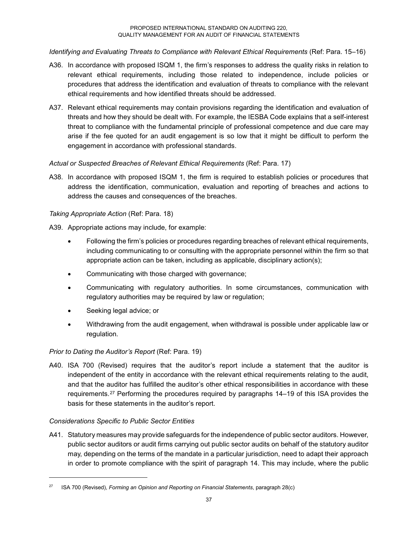*Identifying and Evaluating Threats to Compliance with Relevant Ethical Requirements* (Ref: Para. 15–16)

- A36. In accordance with proposed ISQM 1, the firm's responses to address the quality risks in relation to relevant ethical requirements, including those related to independence, include policies or procedures that address the identification and evaluation of threats to compliance with the relevant ethical requirements and how identified threats should be addressed.
- A37. Relevant ethical requirements may contain provisions regarding the identification and evaluation of threats and how they should be dealt with. For example, the IESBA Code explains that a self-interest threat to compliance with the fundamental principle of professional competence and due care may arise if the fee quoted for an audit engagement is so low that it might be difficult to perform the engagement in accordance with professional standards.

### *Actual or Suspected Breaches of Relevant Ethical Requirements* (Ref: Para. 17)

A38. In accordance with proposed ISQM 1, the firm is required to establish policies or procedures that address the identification, communication, evaluation and reporting of breaches and actions to address the causes and consequences of the breaches.

### *Taking Appropriate Action* (Ref: Para. 18)

A39. Appropriate actions may include, for example:

- Following the firm's policies or procedures regarding breaches of relevant ethical requirements, including communicating to or consulting with the appropriate personnel within the firm so that appropriate action can be taken, including as applicable, disciplinary action(s);
- Communicating with those charged with governance;
- Communicating with regulatory authorities. In some circumstances, communication with regulatory authorities may be required by law or regulation;
- Seeking legal advice; or
- Withdrawing from the audit engagement, when withdrawal is possible under applicable law or regulation.

### *Prior to Dating the Auditor's Report* (Ref: Para. 19)

A40. ISA 700 (Revised) requires that the auditor's report include a statement that the auditor is independent of the entity in accordance with the relevant ethical requirements relating to the audit, and that the auditor has fulfilled the auditor's other ethical responsibilities in accordance with these requirements.27 Performing the procedures required by paragraphs 14–19 of this ISA provides the basis for these statements in the auditor's report.

### *Considerations Specific to Public Sector Entities*

-

A41. Statutory measures may provide safeguards for the independence of public sector auditors. However, public sector auditors or audit firms carrying out public sector audits on behalf of the statutory auditor may, depending on the terms of the mandate in a particular jurisdiction, need to adapt their approach in order to promote compliance with the spirit of paragraph 14. This may include, where the public

<sup>27</sup> ISA 700 (Revised), *Forming an Opinion and Reporting on Financial Statements*, paragraph 28(c)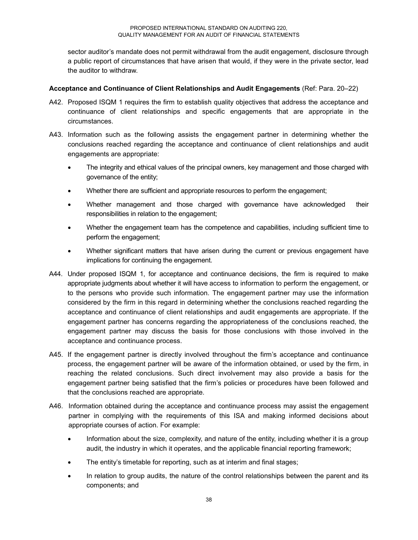sector auditor's mandate does not permit withdrawal from the audit engagement, disclosure through a public report of circumstances that have arisen that would, if they were in the private sector, lead the auditor to withdraw.

### **Acceptance and Continuance of Client Relationships and Audit Engagements** (Ref: Para. 20–22)

- A42. Proposed ISQM 1 requires the firm to establish quality objectives that address the acceptance and continuance of client relationships and specific engagements that are appropriate in the circumstances.
- A43. Information such as the following assists the engagement partner in determining whether the conclusions reached regarding the acceptance and continuance of client relationships and audit engagements are appropriate:
	- The integrity and ethical values of the principal owners, key management and those charged with governance of the entity;
	- Whether there are sufficient and appropriate resources to perform the engagement;
	- Whether management and those charged with governance have acknowledged their responsibilities in relation to the engagement;
	- Whether the engagement team has the competence and capabilities, including sufficient time to perform the engagement;
	- Whether significant matters that have arisen during the current or previous engagement have implications for continuing the engagement.
- A44. Under proposed ISQM 1, for acceptance and continuance decisions, the firm is required to make appropriate judgments about whether it will have access to information to perform the engagement, or to the persons who provide such information. The engagement partner may use the information considered by the firm in this regard in determining whether the conclusions reached regarding the acceptance and continuance of client relationships and audit engagements are appropriate. If the engagement partner has concerns regarding the appropriateness of the conclusions reached, the engagement partner may discuss the basis for those conclusions with those involved in the acceptance and continuance process.
- A45. If the engagement partner is directly involved throughout the firm's acceptance and continuance process, the engagement partner will be aware of the information obtained, or used by the firm, in reaching the related conclusions. Such direct involvement may also provide a basis for the engagement partner being satisfied that the firm's policies or procedures have been followed and that the conclusions reached are appropriate.
- A46. Information obtained during the acceptance and continuance process may assist the engagement partner in complying with the requirements of this ISA and making informed decisions about appropriate courses of action. For example:
	- Information about the size, complexity, and nature of the entity, including whether it is a group audit, the industry in which it operates, and the applicable financial reporting framework;
	- The entity's timetable for reporting, such as at interim and final stages;
	- In relation to group audits, the nature of the control relationships between the parent and its components; and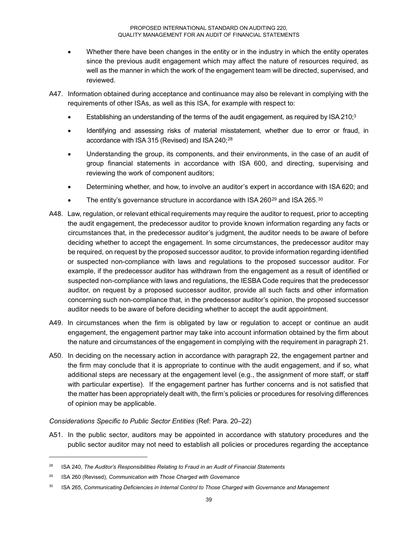- Whether there have been changes in the entity or in the industry in which the entity operates since the previous audit engagement which may affect the nature of resources required, as well as the manner in which the work of the engagement team will be directed, supervised, and reviewed.
- A47. Information obtained during acceptance and continuance may also be relevant in complying with the requirements of other ISAs, as well as this ISA, for example with respect to:
	- Establishing an understanding of the terms of the audit engagement, as required by ISA 210; $3$
	- Identifying and assessing risks of material misstatement, whether due to error or fraud, in accordance with ISA 315 (Revised) and ISA 240;<sup>28</sup>
	- Understanding the group, its components, and their environments, in the case of an audit of group financial statements in accordance with ISA 600, and directing, supervising and reviewing the work of component auditors;
	- Determining whether, and how, to involve an auditor's expert in accordance with ISA 620; and
	- The entity's governance structure in accordance with ISA 260<sup>29</sup> and ISA 265.<sup>30</sup>
- A48. Law, regulation, or relevant ethical requirements may require the auditor to request, prior to accepting the audit engagement, the predecessor auditor to provide known information regarding any facts or circumstances that, in the predecessor auditor's judgment, the auditor needs to be aware of before deciding whether to accept the engagement. In some circumstances, the predecessor auditor may be required, on request by the proposed successor auditor, to provide information regarding identified or suspected non-compliance with laws and regulations to the proposed successor auditor. For example, if the predecessor auditor has withdrawn from the engagement as a result of identified or suspected non-compliance with laws and regulations, the IESBA Code requires that the predecessor auditor, on request by a proposed successor auditor, provide all such facts and other information concerning such non-compliance that, in the predecessor auditor's opinion, the proposed successor auditor needs to be aware of before deciding whether to accept the audit appointment.
- A49. In circumstances when the firm is obligated by law or regulation to accept or continue an audit engagement, the engagement partner may take into account information obtained by the firm about the nature and circumstances of the engagement in complying with the requirement in paragraph 21.
- A50. In deciding on the necessary action in accordance with paragraph 22, the engagement partner and the firm may conclude that it is appropriate to continue with the audit engagement, and if so, what additional steps are necessary at the engagement level (e.g., the assignment of more staff, or staff with particular expertise). If the engagement partner has further concerns and is not satisfied that the matter has been appropriately dealt with, the firm's policies or procedures for resolving differences of opinion may be applicable.

### *Considerations Specific to Public Sector Entities* (Ref: Para. 20–22)

A51. In the public sector, auditors may be appointed in accordance with statutory procedures and the public sector auditor may not need to establish all policies or procedures regarding the acceptance

<sup>28</sup> ISA 240, *The Auditor's Responsibilities Relating to Fraud in an Audit of Financial Statements*

<sup>29</sup> ISA 260 (Revised), *Communication with Those Charged with Governance*

<sup>30</sup> ISA 265, *Communicating Deficiencies in Internal Control to Those Charged with Governance and Management*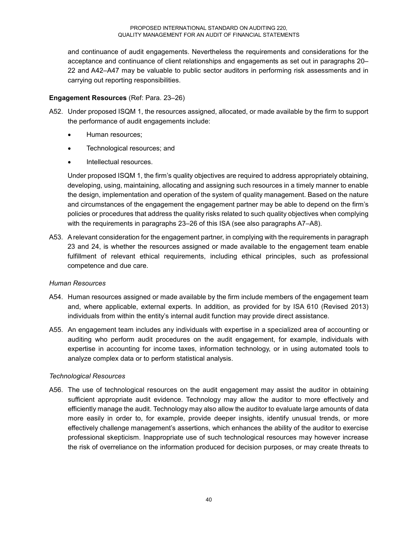and continuance of audit engagements. Nevertheless the requirements and considerations for the acceptance and continuance of client relationships and engagements as set out in paragraphs 20– 22 and A42–A47 may be valuable to public sector auditors in performing risk assessments and in carrying out reporting responsibilities.

### **Engagement Resources** (Ref: Para. 23–26)

- A52. Under proposed ISQM 1, the resources assigned, allocated, or made available by the firm to support the performance of audit engagements include:
	- Human resources;
	- Technological resources; and
	- Intellectual resources.

Under proposed ISQM 1, the firm's quality objectives are required to address appropriately obtaining, developing, using, maintaining, allocating and assigning such resources in a timely manner to enable the design, implementation and operation of the system of quality management. Based on the nature and circumstances of the engagement the engagement partner may be able to depend on the firm's policies or procedures that address the quality risks related to such quality objectives when complying with the requirements in paragraphs 23–26 of this ISA (see also paragraphs A7–A8).

A53. A relevant consideration for the engagement partner, in complying with the requirements in paragraph 23 and 24, is whether the resources assigned or made available to the engagement team enable fulfillment of relevant ethical requirements, including ethical principles, such as professional competence and due care.

### *Human Resources*

- A54. Human resources assigned or made available by the firm include members of the engagement team and, where applicable, external experts. In addition, as provided for by ISA 610 (Revised 2013) individuals from within the entity's internal audit function may provide direct assistance.
- A55. An engagement team includes any individuals with expertise in a specialized area of accounting or auditing who perform audit procedures on the audit engagement, for example, individuals with expertise in accounting for income taxes, information technology, or in using automated tools to analyze complex data or to perform statistical analysis.

### *Technological Resources*

A56. The use of technological resources on the audit engagement may assist the auditor in obtaining sufficient appropriate audit evidence. Technology may allow the auditor to more effectively and efficiently manage the audit. Technology may also allow the auditor to evaluate large amounts of data more easily in order to, for example, provide deeper insights, identify unusual trends, or more effectively challenge management's assertions, which enhances the ability of the auditor to exercise professional skepticism. Inappropriate use of such technological resources may however increase the risk of overreliance on the information produced for decision purposes, or may create threats to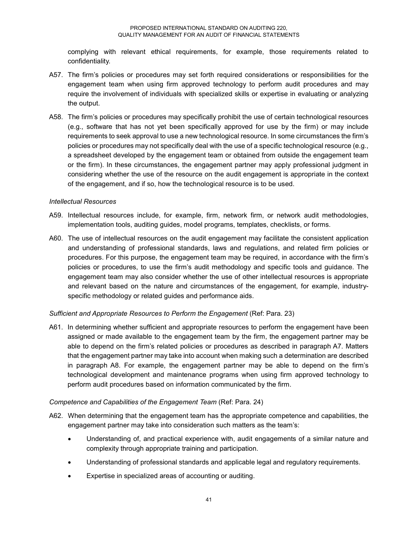complying with relevant ethical requirements, for example, those requirements related to confidentiality.

- A57. The firm's policies or procedures may set forth required considerations or responsibilities for the engagement team when using firm approved technology to perform audit procedures and may require the involvement of individuals with specialized skills or expertise in evaluating or analyzing the output.
- A58. The firm's policies or procedures may specifically prohibit the use of certain technological resources (e.g., software that has not yet been specifically approved for use by the firm) or may include requirements to seek approval to use a new technological resource. In some circumstances the firm's policies or procedures may not specifically deal with the use of a specific technological resource (e.g., a spreadsheet developed by the engagement team or obtained from outside the engagement team or the firm). In these circumstances, the engagement partner may apply professional judgment in considering whether the use of the resource on the audit engagement is appropriate in the context of the engagement, and if so, how the technological resource is to be used.

#### *Intellectual Resources*

- A59. Intellectual resources include, for example, firm, network firm, or network audit methodologies, implementation tools, auditing guides, model programs, templates, checklists, or forms.
- A60. The use of intellectual resources on the audit engagement may facilitate the consistent application and understanding of professional standards, laws and regulations, and related firm policies or procedures. For this purpose, the engagement team may be required, in accordance with the firm's policies or procedures, to use the firm's audit methodology and specific tools and guidance. The engagement team may also consider whether the use of other intellectual resources is appropriate and relevant based on the nature and circumstances of the engagement, for example, industryspecific methodology or related guides and performance aids.

### *Sufficient and Appropriate Resources to Perform the Engagement* (Ref: Para. 23)

A61. In determining whether sufficient and appropriate resources to perform the engagement have been assigned or made available to the engagement team by the firm, the engagement partner may be able to depend on the firm's related policies or procedures as described in paragraph A7. Matters that the engagement partner may take into account when making such a determination are described in paragraph A8. For example, the engagement partner may be able to depend on the firm's technological development and maintenance programs when using firm approved technology to perform audit procedures based on information communicated by the firm.

### *Competence and Capabilities of the Engagement Team (Ref: Para. 24)*

- A62. When determining that the engagement team has the appropriate competence and capabilities, the engagement partner may take into consideration such matters as the team's:
	- Understanding of, and practical experience with, audit engagements of a similar nature and complexity through appropriate training and participation.
	- Understanding of professional standards and applicable legal and regulatory requirements.
	- Expertise in specialized areas of accounting or auditing.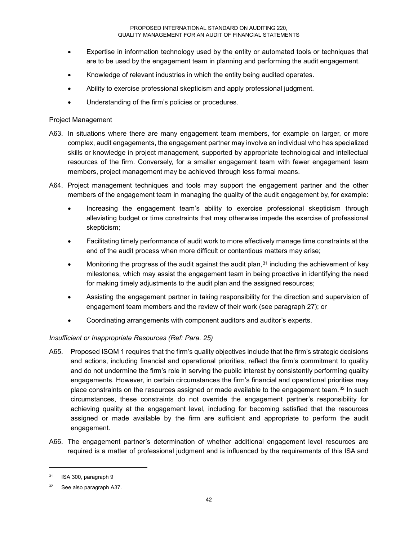- Expertise in information technology used by the entity or automated tools or techniques that are to be used by the engagement team in planning and performing the audit engagement.
- Knowledge of relevant industries in which the entity being audited operates.
- Ability to exercise professional skepticism and apply professional judgment.
- Understanding of the firm's policies or procedures.

### Project Management

- A63. In situations where there are many engagement team members, for example on larger, or more complex, audit engagements, the engagement partner may involve an individual who has specialized skills or knowledge in project management, supported by appropriate technological and intellectual resources of the firm. Conversely, for a smaller engagement team with fewer engagement team members, project management may be achieved through less formal means.
- A64. Project management techniques and tools may support the engagement partner and the other members of the engagement team in managing the quality of the audit engagement by, for example:
	- Increasing the engagement team's ability to exercise professional skepticism through alleviating budget or time constraints that may otherwise impede the exercise of professional skepticism;
	- Facilitating timely performance of audit work to more effectively manage time constraints at the end of the audit process when more difficult or contentious matters may arise;
	- Monitoring the progress of the audit against the audit plan, $31$  including the achievement of key milestones, which may assist the engagement team in being proactive in identifying the need for making timely adjustments to the audit plan and the assigned resources;
	- Assisting the engagement partner in taking responsibility for the direction and supervision of engagement team members and the review of their work (see paragraph 27); or
	- Coordinating arrangements with component auditors and auditor's experts.

### *Insufficient or Inappropriate Resources (Ref: Para. 25)*

- A65. Proposed ISQM 1 requires that the firm's quality objectives include that the firm's strategic decisions and actions, including financial and operational priorities, reflect the firm's commitment to quality and do not undermine the firm's role in serving the public interest by consistently performing quality engagements. However, in certain circumstances the firm's financial and operational priorities may place constraints on the resources assigned or made available to the engagement team.<sup>32</sup> In such circumstances, these constraints do not override the engagement partner's responsibility for achieving quality at the engagement level, including for becoming satisfied that the resources assigned or made available by the firm are sufficient and appropriate to perform the audit engagement.
- A66. The engagement partner's determination of whether additional engagement level resources are required is a matter of professional judgment and is influenced by the requirements of this ISA and

<sup>31</sup> ISA 300, paragraph 9

<sup>32</sup> See also paragraph A37.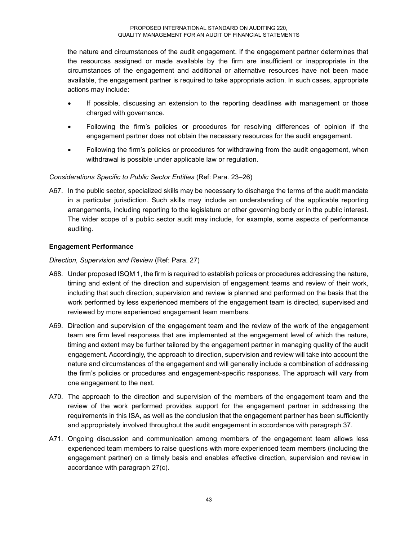the nature and circumstances of the audit engagement. If the engagement partner determines that the resources assigned or made available by the firm are insufficient or inappropriate in the circumstances of the engagement and additional or alternative resources have not been made available, the engagement partner is required to take appropriate action. In such cases, appropriate actions may include:

- If possible, discussing an extension to the reporting deadlines with management or those charged with governance.
- Following the firm's policies or procedures for resolving differences of opinion if the engagement partner does not obtain the necessary resources for the audit engagement.
- Following the firm's policies or procedures for withdrawing from the audit engagement, when withdrawal is possible under applicable law or regulation.

### *Considerations Specific to Public Sector Entities* (Ref: Para. 23–26)

A67. In the public sector, specialized skills may be necessary to discharge the terms of the audit mandate in a particular jurisdiction. Such skills may include an understanding of the applicable reporting arrangements, including reporting to the legislature or other governing body or in the public interest. The wider scope of a public sector audit may include, for example, some aspects of performance auditing.

### **Engagement Performance**

*Direction, Supervision and Review* (Ref: Para. 27)

- A68. Under proposed ISQM 1, the firm is required to establish polices or procedures addressing the nature, timing and extent of the direction and supervision of engagement teams and review of their work, including that such direction, supervision and review is planned and performed on the basis that the work performed by less experienced members of the engagement team is directed, supervised and reviewed by more experienced engagement team members.
- A69. Direction and supervision of the engagement team and the review of the work of the engagement team are firm level responses that are implemented at the engagement level of which the nature, timing and extent may be further tailored by the engagement partner in managing quality of the audit engagement. Accordingly, the approach to direction, supervision and review will take into account the nature and circumstances of the engagement and will generally include a combination of addressing the firm's policies or procedures and engagement-specific responses. The approach will vary from one engagement to the next.
- A70. The approach to the direction and supervision of the members of the engagement team and the review of the work performed provides support for the engagement partner in addressing the requirements in this ISA, as well as the conclusion that the engagement partner has been sufficiently and appropriately involved throughout the audit engagement in accordance with paragraph 37.
- A71. Ongoing discussion and communication among members of the engagement team allows less experienced team members to raise questions with more experienced team members (including the engagement partner) on a timely basis and enables effective direction, supervision and review in accordance with paragraph 27(c).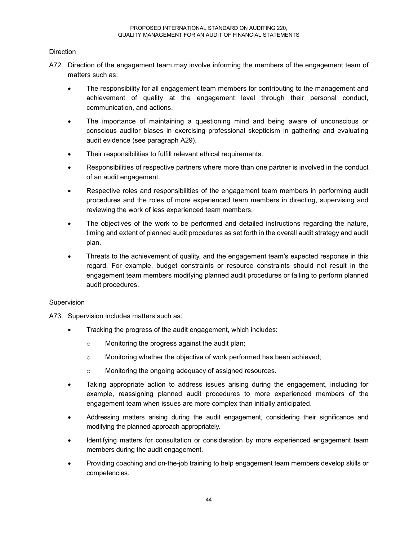### Direction

- A72. Direction of the engagement team may involve informing the members of the engagement team of matters such as:
	- The responsibility for all engagement team members for contributing to the management and achievement of quality at the engagement level through their personal conduct, communication, and actions.
	- The importance of maintaining a questioning mind and being aware of unconscious or conscious auditor biases in exercising professional skepticism in gathering and evaluating audit evidence (see paragraph A29).
	- Their responsibilities to fulfill relevant ethical requirements.
	- Responsibilities of respective partners where more than one partner is involved in the conduct of an audit engagement.
	- Respective roles and responsibilities of the engagement team members in performing audit procedures and the roles of more experienced team members in directing, supervising and reviewing the work of less experienced team members.
	- The objectives of the work to be performed and detailed instructions regarding the nature, timing and extent of planned audit procedures as set forth in the overall audit strategy and audit plan.
	- Threats to the achievement of quality, and the engagement team's expected response in this regard. For example, budget constraints or resource constraints should not result in the engagement team members modifying planned audit procedures or failing to perform planned audit procedures.

### Supervision

A73. Supervision includes matters such as:

- Tracking the progress of the audit engagement, which includes:
	- o Monitoring the progress against the audit plan;
	- o Monitoring whether the objective of work performed has been achieved;
	- o Monitoring the ongoing adequacy of assigned resources.
- Taking appropriate action to address issues arising during the engagement, including for example, reassigning planned audit procedures to more experienced members of the engagement team when issues are more complex than initially anticipated.
- Addressing matters arising during the audit engagement, considering their significance and modifying the planned approach appropriately.
- Identifying matters for consultation or consideration by more experienced engagement team members during the audit engagement.
- Providing coaching and on-the-job training to help engagement team members develop skills or competencies.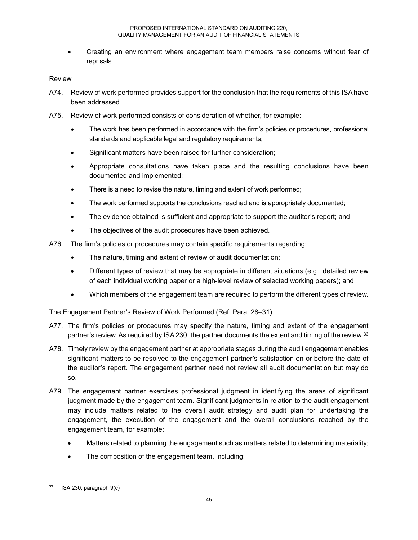• Creating an environment where engagement team members raise concerns without fear of reprisals.

### Review

- A74. Review of work performed provides support for the conclusion that the requirements of this ISA have been addressed.
- A75. Review of work performed consists of consideration of whether, for example:
	- The work has been performed in accordance with the firm's policies or procedures, professional standards and applicable legal and regulatory requirements;
	- Significant matters have been raised for further consideration;
	- Appropriate consultations have taken place and the resulting conclusions have been documented and implemented;
	- There is a need to revise the nature, timing and extent of work performed;
	- The work performed supports the conclusions reached and is appropriately documented;
	- The evidence obtained is sufficient and appropriate to support the auditor's report; and
	- The objectives of the audit procedures have been achieved.
- A76. The firm's policies or procedures may contain specific requirements regarding:
	- The nature, timing and extent of review of audit documentation;
	- Different types of review that may be appropriate in different situations (e.g., detailed review of each individual working paper or a high-level review of selected working papers); and
	- Which members of the engagement team are required to perform the different types of review.

The Engagement Partner's Review of Work Performed (Ref: Para. 28–31)

- A77. The firm's policies or procedures may specify the nature, timing and extent of the engagement partner's review. As required by ISA 230, the partner documents the extent and timing of the review.<sup>33</sup>
- A78. Timely review by the engagement partner at appropriate stages during the audit engagement enables significant matters to be resolved to the engagement partner's satisfaction on or before the date of the auditor's report. The engagement partner need not review all audit documentation but may do so.
- A79. The engagement partner exercises professional judgment in identifying the areas of significant judgment made by the engagement team. Significant judgments in relation to the audit engagement may include matters related to the overall audit strategy and audit plan for undertaking the engagement, the execution of the engagement and the overall conclusions reached by the engagement team, for example:
	- Matters related to planning the engagement such as matters related to determining materiality;
	- The composition of the engagement team, including:

j

 $33$  ISA 230, paragraph  $9(c)$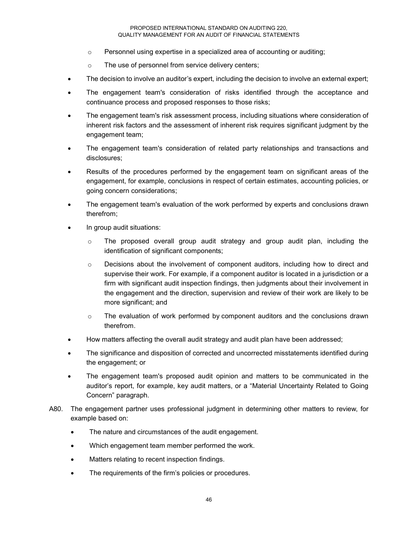- o Personnel using expertise in a specialized area of accounting or auditing;
- o The use of personnel from service delivery centers;
- The decision to involve an auditor's expert, including the decision to involve an external expert;
- The engagement team's consideration of risks identified through the acceptance and continuance process and proposed responses to those risks;
- The engagement team's risk assessment process, including situations where consideration of inherent risk factors and the assessment of inherent risk requires significant judgment by the engagement team;
- The engagement team's consideration of related party relationships and transactions and disclosures;
- Results of the procedures performed by the engagement team on significant areas of the engagement, for example, conclusions in respect of certain estimates, accounting policies, or going concern considerations;
- The engagement team's evaluation of the work performed by experts and conclusions drawn therefrom;
- In group audit situations:
	- $\circ$  The proposed overall group audit strategy and group audit plan, including the identification of significant components;
	- $\circ$  Decisions about the involvement of component auditors, including how to direct and supervise their work. For example, if a component auditor is located in a jurisdiction or a firm with significant audit inspection findings, then judgments about their involvement in the engagement and the direction, supervision and review of their work are likely to be more significant; and
	- $\circ$  The evaluation of work performed by component auditors and the conclusions drawn therefrom.
- How matters affecting the overall audit strategy and audit plan have been addressed;
- The significance and disposition of corrected and uncorrected misstatements identified during the engagement; or
- The engagement team's proposed audit opinion and matters to be communicated in the auditor's report, for example, key audit matters, or a "Material Uncertainty Related to Going Concern" paragraph.
- A80. The engagement partner uses professional judgment in determining other matters to review, for example based on:
	- The nature and circumstances of the audit engagement.
	- Which engagement team member performed the work.
	- Matters relating to recent inspection findings.
	- The requirements of the firm's policies or procedures.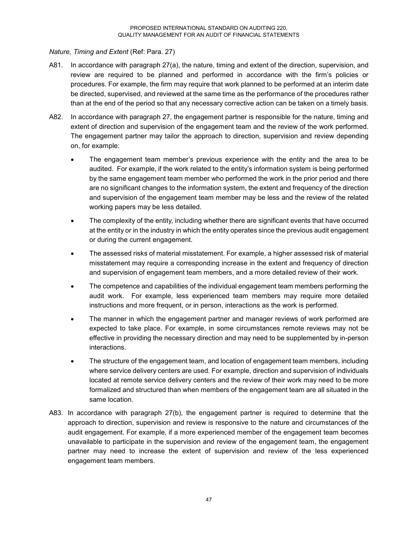### *Nature, Timing and Extent* (Ref: Para. 27)

- A81. In accordance with paragraph 27(a), the nature, timing and extent of the direction, supervision, and review are required to be planned and performed in accordance with the firm's policies or procedures. For example, the firm may require that work planned to be performed at an interim date be directed, supervised, and reviewed at the same time as the performance of the procedures rather than at the end of the period so that any necessary corrective action can be taken on a timely basis.
- A82. In accordance with paragraph 27, the engagement partner is responsible for the nature, timing and extent of direction and supervision of the engagement team and the review of the work performed. The engagement partner may tailor the approach to direction, supervision and review depending on, for example:
	- The engagement team member's previous experience with the entity and the area to be audited. For example, if the work related to the entity's information system is being performed by the same engagement team member who performed the work in the prior period and there are no significant changes to the information system, the extent and frequency of the direction and supervision of the engagement team member may be less and the review of the related working papers may be less detailed.
	- The complexity of the entity, including whether there are significant events that have occurred at the entity or in the industry in which the entity operates since the previous audit engagement or during the current engagement.
	- The assessed risks of material misstatement. For example, a higher assessed risk of material misstatement may require a corresponding increase in the extent and frequency of direction and supervision of engagement team members, and a more detailed review of their work.
	- The competence and capabilities of the individual engagement team members performing the audit work. For example, less experienced team members may require more detailed instructions and more frequent, or in person, interactions as the work is performed.
	- The manner in which the engagement partner and manager reviews of work performed are expected to take place. For example, in some circumstances remote reviews may not be effective in providing the necessary direction and may need to be supplemented by in-person interactions.
	- The structure of the engagement team, and location of engagement team members, including where service delivery centers are used. For example, direction and supervision of individuals located at remote service delivery centers and the review of their work may need to be more formalized and structured than when members of the engagement team are all situated in the same location.
- A83. In accordance with paragraph 27(b), the engagement partner is required to determine that the approach to direction, supervision and review is responsive to the nature and circumstances of the audit engagement. For example, if a more experienced member of the engagement team becomes unavailable to participate in the supervision and review of the engagement team, the engagement partner may need to increase the extent of supervision and review of the less experienced engagement team members.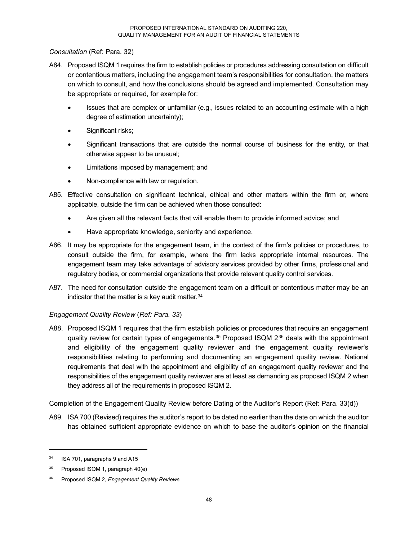*Consultation* (Ref: Para. 32)

- A84. Proposed ISQM 1 requires the firm to establish policies or procedures addressing consultation on difficult or contentious matters, including the engagement team's responsibilities for consultation, the matters on which to consult, and how the conclusions should be agreed and implemented. Consultation may be appropriate or required, for example for:
	- Issues that are complex or unfamiliar (e.g., issues related to an accounting estimate with a high degree of estimation uncertainty);
	- Significant risks;
	- Significant transactions that are outside the normal course of business for the entity, or that otherwise appear to be unusual;
	- Limitations imposed by management; and
	- Non-compliance with law or regulation.
- A85. Effective consultation on significant technical, ethical and other matters within the firm or, where applicable, outside the firm can be achieved when those consulted:
	- Are given all the relevant facts that will enable them to provide informed advice; and
	- Have appropriate knowledge, seniority and experience.
- A86. It may be appropriate for the engagement team, in the context of the firm's policies or procedures, to consult outside the firm, for example, where the firm lacks appropriate internal resources. The engagement team may take advantage of advisory services provided by other firms, professional and regulatory bodies, or commercial organizations that provide relevant quality control services.
- A87. The need for consultation outside the engagement team on a difficult or contentious matter may be an indicator that the matter is a key audit matter.<sup>34</sup>

### *Engagement Quality Review* (*Ref: Para. 33*)

A88. Proposed ISQM 1 requires that the firm establish policies or procedures that require an engagement quality review for certain types of engagements. $35$  Proposed ISQM  $2^{36}$  deals with the appointment and eligibility of the engagement quality reviewer and the engagement quality reviewer's responsibilities relating to performing and documenting an engagement quality review. National requirements that deal with the appointment and eligibility of an engagement quality reviewer and the responsibilities of the engagement quality reviewer are at least as demanding as proposed ISQM 2 when they address all of the requirements in proposed ISQM 2.

Completion of the Engagement Quality Review before Dating of the Auditor's Report (Ref: Para. 33(d))

A89. ISA 700 (Revised) requires the auditor's report to be dated no earlier than the date on which the auditor has obtained sufficient appropriate evidence on which to base the auditor's opinion on the financial

j

<sup>34</sup> ISA 701, paragraphs 9 and A15

 $35$  Proposed ISQM 1, paragraph 40(e)

<sup>36</sup> Proposed ISQM 2, *Engagement Quality Reviews*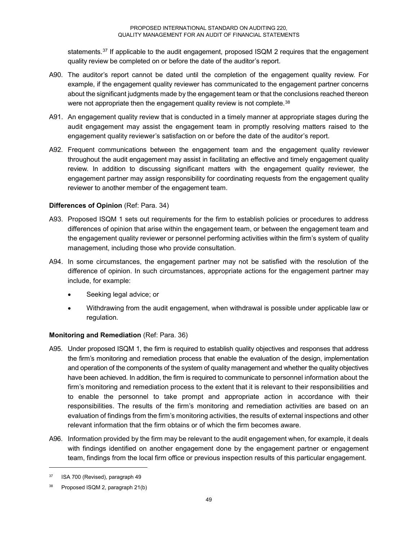statements.<sup>37</sup> If applicable to the audit engagement, proposed ISQM 2 requires that the engagement quality review be completed on or before the date of the auditor's report.

- A90. The auditor's report cannot be dated until the completion of the engagement quality review. For example, if the engagement quality reviewer has communicated to the engagement partner concerns about the significant judgments made by the engagement team or that the conclusions reached thereon were not appropriate then the engagement quality review is not complete.<sup>38</sup>
- A91. An engagement quality review that is conducted in a timely manner at appropriate stages during the audit engagement may assist the engagement team in promptly resolving matters raised to the engagement quality reviewer's satisfaction on or before the date of the auditor's report.
- A92. Frequent communications between the engagement team and the engagement quality reviewer throughout the audit engagement may assist in facilitating an effective and timely engagement quality review. In addition to discussing significant matters with the engagement quality reviewer, the engagement partner may assign responsibility for coordinating requests from the engagement quality reviewer to another member of the engagement team.

### **Differences of Opinion** (Ref: Para. 34)

- A93. Proposed ISQM 1 sets out requirements for the firm to establish policies or procedures to address differences of opinion that arise within the engagement team, or between the engagement team and the engagement quality reviewer or personnel performing activities within the firm's system of quality management, including those who provide consultation.
- A94. In some circumstances, the engagement partner may not be satisfied with the resolution of the difference of opinion. In such circumstances, appropriate actions for the engagement partner may include, for example:
	- Seeking legal advice; or
	- Withdrawing from the audit engagement, when withdrawal is possible under applicable law or regulation.

### **Monitoring and Remediation** (Ref: Para. 36)

- A95. Under proposed ISQM 1, the firm is required to establish quality objectives and responses that address the firm's monitoring and remediation process that enable the evaluation of the design, implementation and operation of the components of the system of quality management and whether the quality objectives have been achieved. In addition, the firm is required to communicate to personnel information about the firm's monitoring and remediation process to the extent that it is relevant to their responsibilities and to enable the personnel to take prompt and appropriate action in accordance with their responsibilities. The results of the firm's monitoring and remediation activities are based on an evaluation of findings from the firm's monitoring activities, the results of external inspections and other relevant information that the firm obtains or of which the firm becomes aware.
- A96. Information provided by the firm may be relevant to the audit engagement when, for example, it deals with findings identified on another engagement done by the engagement partner or engagement team, findings from the local firm office or previous inspection results of this particular engagement.

<sup>&</sup>lt;sup>37</sup> ISA 700 (Revised), paragraph 49

<sup>38</sup> Proposed ISQM 2, paragraph 21(b)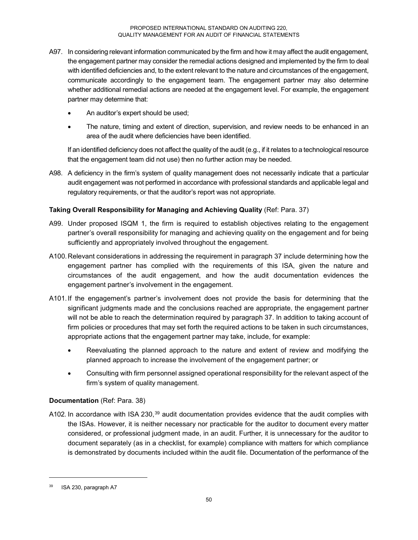- A97. In considering relevant information communicated by the firm and how it may affect the audit engagement, the engagement partner may consider the remedial actions designed and implemented by the firm to deal with identified deficiencies and, to the extent relevant to the nature and circumstances of the engagement, communicate accordingly to the engagement team. The engagement partner may also determine whether additional remedial actions are needed at the engagement level. For example, the engagement partner may determine that:
	- An auditor's expert should be used;
	- The nature, timing and extent of direction, supervision, and review needs to be enhanced in an area of the audit where deficiencies have been identified.

If an identified deficiency does not affect the quality of the audit (e.g., if it relates to a technological resource that the engagement team did not use) then no further action may be needed.

A98. A deficiency in the firm's system of quality management does not necessarily indicate that a particular audit engagement was not performed in accordance with professional standards and applicable legal and regulatory requirements, or that the auditor's report was not appropriate.

### **Taking Overall Responsibility for Managing and Achieving Quality** (Ref: Para. 37)

- A99. Under proposed ISQM 1, the firm is required to establish objectives relating to the engagement partner's overall responsibility for managing and achieving quality on the engagement and for being sufficiently and appropriately involved throughout the engagement.
- A100.Relevant considerations in addressing the requirement in paragraph 37 include determining how the engagement partner has complied with the requirements of this ISA, given the nature and circumstances of the audit engagement, and how the audit documentation evidences the engagement partner's involvement in the engagement.
- A101.If the engagement's partner's involvement does not provide the basis for determining that the significant judgments made and the conclusions reached are appropriate, the engagement partner will not be able to reach the determination required by paragraph 37. In addition to taking account of firm policies or procedures that may set forth the required actions to be taken in such circumstances, appropriate actions that the engagement partner may take, include, for example:
	- Reevaluating the planned approach to the nature and extent of review and modifying the planned approach to increase the involvement of the engagement partner; or
	- Consulting with firm personnel assigned operational responsibility for the relevant aspect of the firm's system of quality management.

### **Documentation** (Ref: Para. 38)

A102. In accordance with ISA 230,<sup>39</sup> audit documentation provides evidence that the audit complies with the ISAs. However, it is neither necessary nor practicable for the auditor to document every matter considered, or professional judgment made, in an audit. Further, it is unnecessary for the auditor to document separately (as in a checklist, for example) compliance with matters for which compliance is demonstrated by documents included within the audit file. Documentation of the performance of the

ISA 230, paragraph A7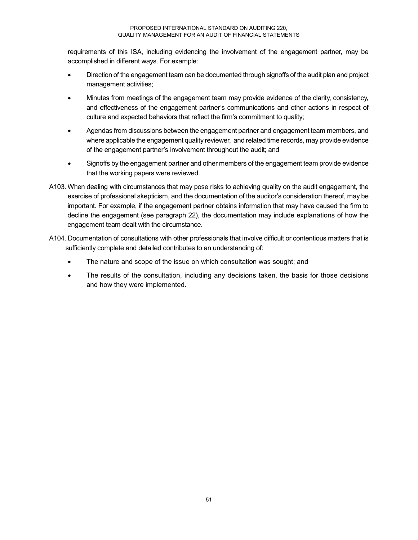requirements of this ISA, including evidencing the involvement of the engagement partner, may be accomplished in different ways. For example:

- Direction of the engagement team can be documented through signoffs of the audit plan and project management activities;
- Minutes from meetings of the engagement team may provide evidence of the clarity, consistency, and effectiveness of the engagement partner's communications and other actions in respect of culture and expected behaviors that reflect the firm's commitment to quality;
- Agendas from discussions between the engagement partner and engagement team members, and where applicable the engagement quality reviewer, and related time records, may provide evidence of the engagement partner's involvement throughout the audit; and
- Signoffs by the engagement partner and other members of the engagement team provide evidence that the working papers were reviewed.
- A103. When dealing with circumstances that may pose risks to achieving quality on the audit engagement, the exercise of professional skepticism, and the documentation of the auditor's consideration thereof, may be important. For example, if the engagement partner obtains information that may have caused the firm to decline the engagement (see paragraph 22), the documentation may include explanations of how the engagement team dealt with the circumstance.
- A104. Documentation of consultations with other professionals that involve difficult or contentious matters that is sufficiently complete and detailed contributes to an understanding of:
	- The nature and scope of the issue on which consultation was sought; and
	- The results of the consultation, including any decisions taken, the basis for those decisions and how they were implemented.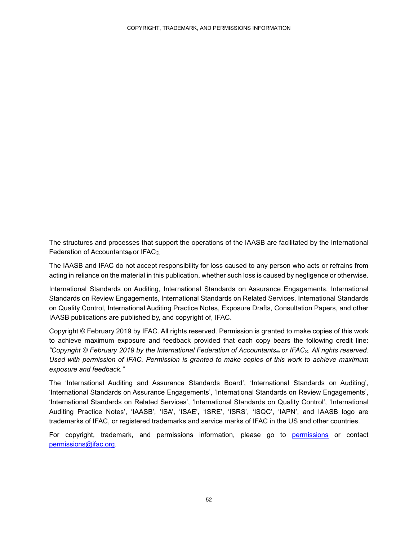The structures and processes that support the operations of the IAASB are facilitated by the International Federation of Accountants® or IFAC®.

The IAASB and IFAC do not accept responsibility for loss caused to any person who acts or refrains from acting in reliance on the material in this publication, whether such loss is caused by negligence or otherwise.

International Standards on Auditing, International Standards on Assurance Engagements, International Standards on Review Engagements, International Standards on Related Services, International Standards on Quality Control, International Auditing Practice Notes, Exposure Drafts, Consultation Papers, and other IAASB publications are published by, and copyright of, IFAC.

Copyright © February 2019 by IFAC. All rights reserved. Permission is granted to make copies of this work to achieve maximum exposure and feedback provided that each copy bears the following credit line: *"Copyright © February 2019 by the International Federation of Accountants® or IFAC®. All rights reserved. Used with permission of IFAC. Permission is granted to make copies of this work to achieve maximum exposure and feedback."*

The 'International Auditing and Assurance Standards Board', 'International Standards on Auditing', 'International Standards on Assurance Engagements', 'International Standards on Review Engagements', 'International Standards on Related Services', 'International Standards on Quality Control', 'International Auditing Practice Notes', 'IAASB', 'ISA', 'ISAE', 'ISRE', 'ISRS', 'ISQC', 'IAPN', and IAASB logo are trademarks of IFAC, or registered trademarks and service marks of IFAC in the US and other countries.

For copyright, trademark, and permissions information, please go to permissions or contact permissions@ifac.org.